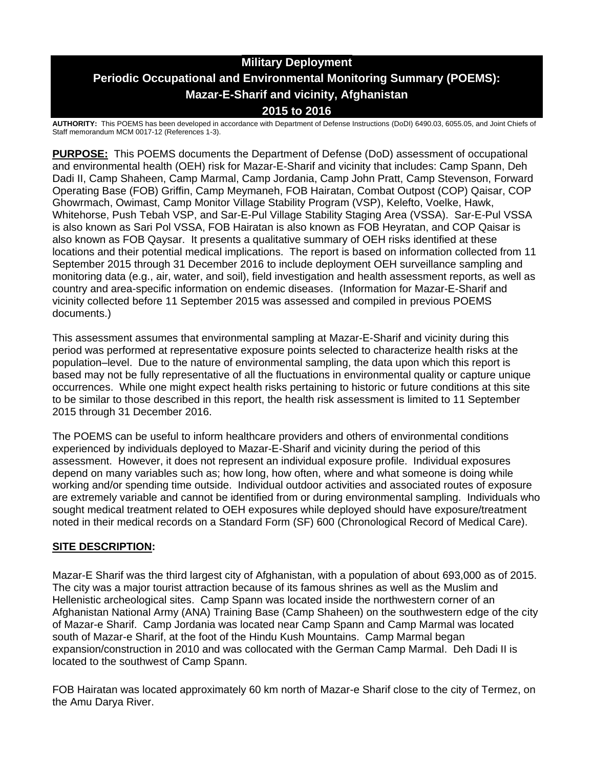# **Military Deployment Periodic Occupational and Environmental Monitoring Summary (POEMS): Mazar-E-Sharif and vicinity, Afghanistan 2015 to 2016**

**AUTHORITY:** This POEMS has been developed in accordance with Department of Defense Instructions (DoDI) 6490.03, 6055.05, and Joint Chiefs of Staff memorandum MCM 0017-12 (References 1-3).

**PURPOSE:** This POEMS documents the Department of Defense (DoD) assessment of occupational and environmental health (OEH) risk for Mazar-E-Sharif and vicinity that includes: Camp Spann, Deh Dadi II, Camp Shaheen, Camp Marmal, Camp Jordania, Camp John Pratt, Camp Stevenson, Forward Operating Base (FOB) Griffin, Camp Meymaneh, FOB Hairatan, Combat Outpost (COP) Qaisar, COP Ghowrmach, Owimast, Camp Monitor Village Stability Program (VSP), Kelefto, Voelke, Hawk, Whitehorse, Push Tebah VSP, and Sar-E-Pul Village Stability Staging Area (VSSA). Sar-E-Pul VSSA is also known as Sari Pol VSSA, FOB Hairatan is also known as FOB Heyratan, and COP Qaisar is also known as FOB Qaysar. It presents a qualitative summary of OEH risks identified at these locations and their potential medical implications. The report is based on information collected from 11 September 2015 through 31 December 2016 to include deployment OEH surveillance sampling and monitoring data (e.g., air, water, and soil), field investigation and health assessment reports, as well as country and area-specific information on endemic diseases. (Information for Mazar-E-Sharif and vicinity collected before 11 September 2015 was assessed and compiled in previous POEMS documents.)

This assessment assumes that environmental sampling at Mazar-E-Sharif and vicinity during this period was performed at representative exposure points selected to characterize health risks at the population–level. Due to the nature of environmental sampling, the data upon which this report is based may not be fully representative of all the fluctuations in environmental quality or capture unique occurrences. While one might expect health risks pertaining to historic or future conditions at this site to be similar to those described in this report, the health risk assessment is limited to 11 September 2015 through 31 December 2016.

The POEMS can be useful to inform healthcare providers and others of environmental conditions experienced by individuals deployed to Mazar-E-Sharif and vicinity during the period of this assessment. However, it does not represent an individual exposure profile. Individual exposures depend on many variables such as; how long, how often, where and what someone is doing while working and/or spending time outside. Individual outdoor activities and associated routes of exposure are extremely variable and cannot be identified from or during environmental sampling. Individuals who sought medical treatment related to OEH exposures while deployed should have exposure/treatment noted in their medical records on a Standard Form (SF) 600 (Chronological Record of Medical Care).

# **SITE DESCRIPTION:**

Mazar-E Sharif was the third largest city of Afghanistan, with a population of about 693,000 as of 2015. The city was a major tourist attraction because of its famous shrines as well as the Muslim and Hellenistic archeological sites. Camp Spann was located inside the northwestern corner of an Afghanistan National Army (ANA) Training Base (Camp Shaheen) on the southwestern edge of the city of Mazar-e Sharif. Camp Jordania was located near Camp Spann and Camp Marmal was located south of Mazar-e Sharif, at the foot of the Hindu Kush Mountains. Camp Marmal began expansion/construction in 2010 and was collocated with the German Camp Marmal. Deh Dadi II is located to the southwest of Camp Spann.

FOB Hairatan was located approximately 60 km north of Mazar-e Sharif close to the city of Termez, on the Amu Darya River.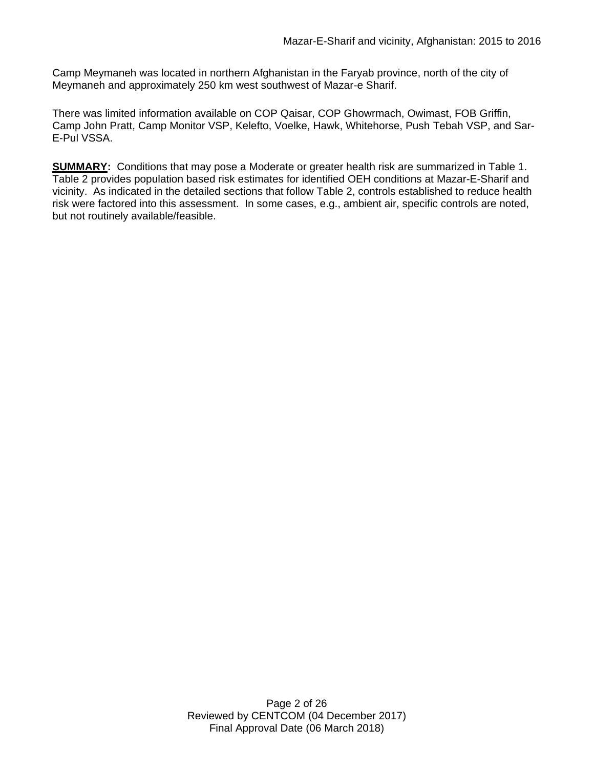Camp Meymaneh was located in northern Afghanistan in the Faryab province, north of the city of Meymaneh and approximately 250 km west southwest of Mazar-e Sharif.

There was limited information available on COP Qaisar, COP Ghowrmach, Owimast, FOB Griffin, Camp John Pratt, Camp Monitor VSP, Kelefto, Voelke, Hawk, Whitehorse, Push Tebah VSP, and Sar-E-Pul VSSA.

**SUMMARY:** Conditions that may pose a Moderate or greater health risk are summarized in Table 1. Table 2 provides population based risk estimates for identified OEH conditions at Mazar-E-Sharif and vicinity. As indicated in the detailed sections that follow Table 2, controls established to reduce health risk were factored into this assessment. In some cases, e.g., ambient air, specific controls are noted, but not routinely available/feasible.

> Page 2 of 26 Reviewed by CENTCOM (04 December 2017) Final Approval Date (06 March 2018)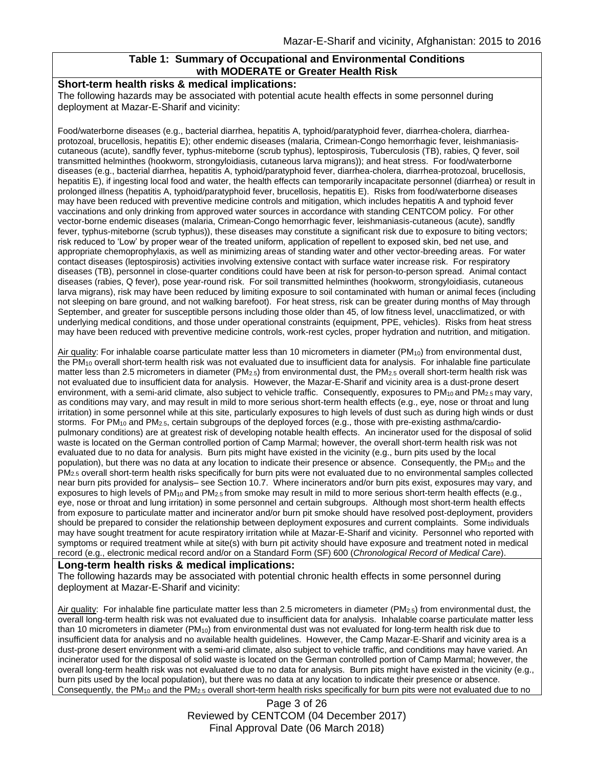# **Table 1: Summary of Occupational and Environmental Conditions with MODERATE or Greater Health Risk**

#### **Short-term health risks & medical implications:**

The following hazards may be associated with potential acute health effects in some personnel during deployment at Mazar-E-Sharif and vicinity:

Food/waterborne diseases (e.g., bacterial diarrhea, hepatitis A, typhoid/paratyphoid fever, diarrhea-cholera, diarrheaprotozoal, brucellosis, hepatitis E); other endemic diseases (malaria, Crimean-Congo hemorrhagic fever, leishmaniasiscutaneous (acute), sandfly fever, typhus-miteborne (scrub typhus), leptospirosis, Tuberculosis (TB), rabies, Q fever, soil transmitted helminthes (hookworm, strongyloidiasis, cutaneous larva migrans)); and heat stress. For food/waterborne diseases (e.g., bacterial diarrhea, hepatitis A, typhoid/paratyphoid fever, diarrhea-cholera, diarrhea-protozoal, brucellosis, hepatitis E), if ingesting local food and water, the health effects can temporarily incapacitate personnel (diarrhea) or result in prolonged illness (hepatitis A, typhoid/paratyphoid fever, brucellosis, hepatitis E). Risks from food/waterborne diseases may have been reduced with preventive medicine controls and mitigation, which includes hepatitis A and typhoid fever vaccinations and only drinking from approved water sources in accordance with standing CENTCOM policy. For other vector-borne endemic diseases (malaria, Crimean-Congo hemorrhagic fever, leishmaniasis-cutaneous (acute), sandfly fever, typhus-miteborne (scrub typhus)), these diseases may constitute a significant risk due to exposure to biting vectors; risk reduced to 'Low' by proper wear of the treated uniform, application of repellent to exposed skin, bed net use, and appropriate chemoprophylaxis, as well as minimizing areas of standing water and other vector-breeding areas. For water contact diseases (leptospirosis) activities involving extensive contact with surface water increase risk. For respiratory diseases (TB), personnel in close-quarter conditions could have been at risk for person-to-person spread. Animal contact diseases (rabies, Q fever), pose year-round risk. For soil transmitted helminthes (hookworm, strongyloidiasis, cutaneous larva migrans), risk may have been reduced by limiting exposure to soil contaminated with human or animal feces (including not sleeping on bare ground, and not walking barefoot). For heat stress, risk can be greater during months of May through September, and greater for susceptible persons including those older than 45, of low fitness level, unacclimatized, or with underlying medical conditions, and those under operational constraints (equipment, PPE, vehicles). Risks from heat stress may have been reduced with preventive medicine controls, work-rest cycles, proper hydration and nutrition, and mitigation.

Air quality: For inhalable coarse particulate matter less than 10 micrometers in diameter (PM<sub>10</sub>) from environmental dust, the PM<sup>10</sup> overall short-term health risk was not evaluated due to insufficient data for analysis. For inhalable fine particulate matter less than 2.5 micrometers in diameter (PM<sub>2.5</sub>) from environmental dust, the PM<sub>2.5</sub> overall short-term health risk was not evaluated due to insufficient data for analysis. However, the Mazar-E-Sharif and vicinity area is a dust-prone desert environment, with a semi-arid climate, also subject to vehicle traffic. Consequently, exposures to  $PM_{10}$  and  $PM_{2.5}$  may vary. as conditions may vary, and may result in mild to more serious short-term health effects (e.g., eye, nose or throat and lung irritation) in some personnel while at this site, particularly exposures to high levels of dust such as during high winds or dust storms. For PM<sub>10</sub> and PM<sub>2.5</sub>, certain subgroups of the deployed forces (e.g., those with pre-existing asthma/cardiopulmonary conditions) are at greatest risk of developing notable health effects. An incinerator used for the disposal of solid waste is located on the German controlled portion of Camp Marmal; however, the overall short-term health risk was not evaluated due to no data for analysis. Burn pits might have existed in the vicinity (e.g., burn pits used by the local population), but there was no data at any location to indicate their presence or absence. Consequently, the PM<sup>10</sup> and the PM2.5 overall short-term health risks specifically for burn pits were not evaluated due to no environmental samples collected near burn pits provided for analysis– see Section 10.7. Where incinerators and/or burn pits exist, exposures may vary, and exposures to high levels of PM<sub>10</sub> and PM<sub>2.5</sub> from smoke may result in mild to more serious short-term health effects (e.g., eye, nose or throat and lung irritation) in some personnel and certain subgroups. Although most short-term health effects from exposure to particulate matter and incinerator and/or burn pit smoke should have resolved post-deployment, providers should be prepared to consider the relationship between deployment exposures and current complaints. Some individuals may have sought treatment for acute respiratory irritation while at Mazar-E-Sharif and vicinity. Personnel who reported with symptoms or required treatment while at site(s) with burn pit activity should have exposure and treatment noted in medical record (e.g., electronic medical record and/or on a Standard Form (SF) 600 (*Chronological Record of Medical Care*).

#### **Long-term health risks & medical implications:**

The following hazards may be associated with potential chronic health effects in some personnel during deployment at Mazar-E-Sharif and vicinity:

Air quality: For inhalable fine particulate matter less than 2.5 micrometers in diameter (PM<sub>2.5</sub>) from environmental dust, the overall long-term health risk was not evaluated due to insufficient data for analysis. Inhalable coarse particulate matter less than 10 micrometers in diameter (PM<sub>10</sub>) from environmental dust was not evaluated for long-term health risk due to insufficient data for analysis and no available health guidelines. However, the Camp Mazar-E-Sharif and vicinity area is a dust-prone desert environment with a semi-arid climate, also subject to vehicle traffic, and conditions may have varied. An incinerator used for the disposal of solid waste is located on the German controlled portion of Camp Marmal; however, the overall long-term health risk was not evaluated due to no data for analysis. Burn pits might have existed in the vicinity (e.g., burn pits used by the local population), but there was no data at any location to indicate their presence or absence. Consequently, the PM<sub>10</sub> and the PM<sub>2.5</sub> overall short-term health risks specifically for burn pits were not evaluated due to no

> Page 3 of 26 Reviewed by CENTCOM (04 December 2017) Final Approval Date (06 March 2018)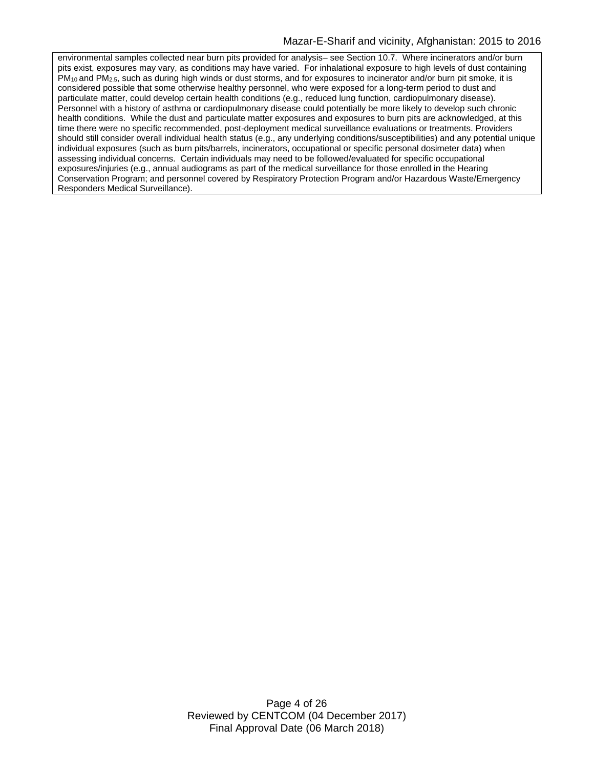environmental samples collected near burn pits provided for analysis– see Section 10.7. Where incinerators and/or burn pits exist, exposures may vary, as conditions may have varied. For inhalational exposure to high levels of dust containing PM10 and PM2.5, such as during high winds or dust storms, and for exposures to incinerator and/or burn pit smoke, it is considered possible that some otherwise healthy personnel, who were exposed for a long-term period to dust and particulate matter, could develop certain health conditions (e.g., reduced lung function, cardiopulmonary disease). Personnel with a history of asthma or cardiopulmonary disease could potentially be more likely to develop such chronic health conditions. While the dust and particulate matter exposures and exposures to burn pits are acknowledged, at this time there were no specific recommended, post-deployment medical surveillance evaluations or treatments. Providers should still consider overall individual health status (e.g., any underlying conditions/susceptibilities) and any potential unique individual exposures (such as burn pits/barrels, incinerators, occupational or specific personal dosimeter data) when assessing individual concerns. Certain individuals may need to be followed/evaluated for specific occupational exposures/injuries (e.g., annual audiograms as part of the medical surveillance for those enrolled in the Hearing Conservation Program; and personnel covered by Respiratory Protection Program and/or Hazardous Waste/Emergency Responders Medical Surveillance).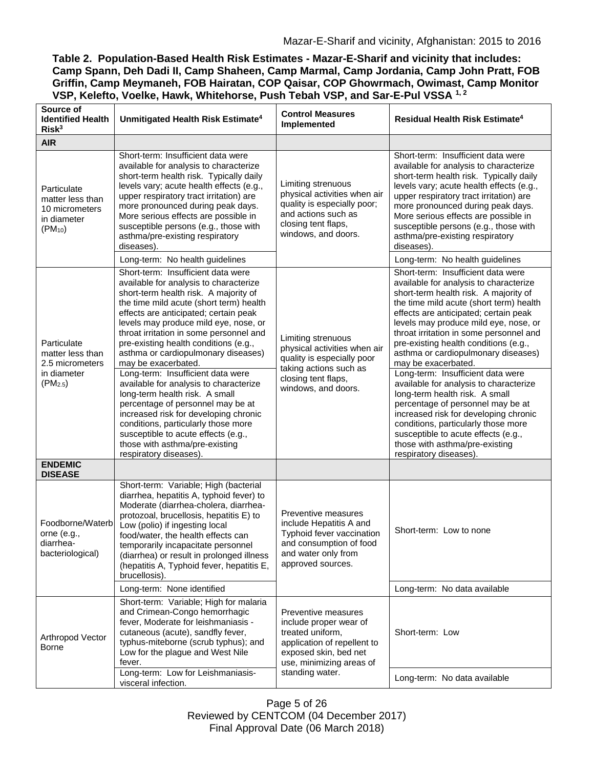| Table 2. Population-Based Health Risk Estimates - Mazar-E-Sharif and vicinity that includes: |
|----------------------------------------------------------------------------------------------|
| Camp Spann, Deh Dadi II, Camp Shaheen, Camp Marmal, Camp Jordania, Camp John Pratt, FOB      |
| Griffin, Camp Meymaneh, FOB Hairatan, COP Qaisar, COP Ghowrmach, Owimast, Camp Monitor       |
| VSP, Kelefto, Voelke, Hawk, Whitehorse, Push Tebah VSP, and Sar-E-Pul VSSA 1, 2              |

| Source of<br><b>Identified Health</b><br>Risk <sup>3</sup>                        | Unmitigated Health Risk Estimate <sup>4</sup>                                                                                                                                                                                                                                                                                                                                                                                                                                                                                                                                                                                                                                                                                                 | <b>Control Measures</b><br>Implemented                                                                                                                                   | <b>Residual Health Risk Estimate<sup>4</sup></b>                                                                                                                                                                                                                                                                                                                                                                                                                                                                                                                                                                                                                                                                                              |
|-----------------------------------------------------------------------------------|-----------------------------------------------------------------------------------------------------------------------------------------------------------------------------------------------------------------------------------------------------------------------------------------------------------------------------------------------------------------------------------------------------------------------------------------------------------------------------------------------------------------------------------------------------------------------------------------------------------------------------------------------------------------------------------------------------------------------------------------------|--------------------------------------------------------------------------------------------------------------------------------------------------------------------------|-----------------------------------------------------------------------------------------------------------------------------------------------------------------------------------------------------------------------------------------------------------------------------------------------------------------------------------------------------------------------------------------------------------------------------------------------------------------------------------------------------------------------------------------------------------------------------------------------------------------------------------------------------------------------------------------------------------------------------------------------|
| <b>AIR</b>                                                                        |                                                                                                                                                                                                                                                                                                                                                                                                                                                                                                                                                                                                                                                                                                                                               |                                                                                                                                                                          |                                                                                                                                                                                                                                                                                                                                                                                                                                                                                                                                                                                                                                                                                                                                               |
| Particulate<br>matter less than<br>10 micrometers<br>in diameter<br>$(PM_{10})$   | Short-term: Insufficient data were<br>available for analysis to characterize<br>short-term health risk. Typically daily<br>levels vary; acute health effects (e.g.,<br>upper respiratory tract irritation) are<br>more pronounced during peak days.<br>More serious effects are possible in<br>susceptible persons (e.g., those with<br>asthma/pre-existing respiratory<br>diseases).                                                                                                                                                                                                                                                                                                                                                         | Limiting strenuous<br>physical activities when air<br>quality is especially poor;<br>and actions such as<br>closing tent flaps,<br>windows, and doors.                   | Short-term: Insufficient data were<br>available for analysis to characterize<br>short-term health risk. Typically daily<br>levels vary; acute health effects (e.g.,<br>upper respiratory tract irritation) are<br>more pronounced during peak days.<br>More serious effects are possible in<br>susceptible persons (e.g., those with<br>asthma/pre-existing respiratory<br>diseases).                                                                                                                                                                                                                                                                                                                                                         |
|                                                                                   | Long-term: No health guidelines                                                                                                                                                                                                                                                                                                                                                                                                                                                                                                                                                                                                                                                                                                               |                                                                                                                                                                          | Long-term: No health guidelines                                                                                                                                                                                                                                                                                                                                                                                                                                                                                                                                                                                                                                                                                                               |
| Particulate<br>matter less than<br>2.5 micrometers<br>in diameter<br>$(PM_{2.5})$ | Short-term: Insufficient data were<br>available for analysis to characterize<br>short-term health risk. A majority of<br>the time mild acute (short term) health<br>effects are anticipated; certain peak<br>levels may produce mild eye, nose, or<br>throat irritation in some personnel and<br>pre-existing health conditions (e.g.,<br>asthma or cardiopulmonary diseases)<br>may be exacerbated.<br>Long-term: Insufficient data were<br>available for analysis to characterize<br>long-term health risk. A small<br>percentage of personnel may be at<br>increased risk for developing chronic<br>conditions, particularly those more<br>susceptible to acute effects (e.g.,<br>those with asthma/pre-existing<br>respiratory diseases). | Limiting strenuous<br>physical activities when air<br>quality is especially poor<br>taking actions such as<br>closing tent flaps,<br>windows, and doors.                 | Short-term: Insufficient data were<br>available for analysis to characterize<br>short-term health risk. A majority of<br>the time mild acute (short term) health<br>effects are anticipated; certain peak<br>levels may produce mild eye, nose, or<br>throat irritation in some personnel and<br>pre-existing health conditions (e.g.,<br>asthma or cardiopulmonary diseases)<br>may be exacerbated.<br>Long-term: Insufficient data were<br>available for analysis to characterize<br>long-term health risk. A small<br>percentage of personnel may be at<br>increased risk for developing chronic<br>conditions, particularly those more<br>susceptible to acute effects (e.g.,<br>those with asthma/pre-existing<br>respiratory diseases). |
| <b>ENDEMIC</b><br><b>DISEASE</b>                                                  |                                                                                                                                                                                                                                                                                                                                                                                                                                                                                                                                                                                                                                                                                                                                               |                                                                                                                                                                          |                                                                                                                                                                                                                                                                                                                                                                                                                                                                                                                                                                                                                                                                                                                                               |
| Foodborne/Waterb<br>orne (e.g.,<br>diarrhea-<br>bacteriological)                  | Short-term: Variable; High (bacterial<br>diarrhea, hepatitis A, typhoid fever) to<br>Moderate (diarrhea-cholera, diarrhea-<br>protozoal, brucellosis, hepatitis E) to<br>Low (polio) if ingesting local<br>food/water, the health effects can<br>temporarily incapacitate personnel<br>(diarrhea) or result in prolonged illness<br>(hepatitis A, Typhoid fever, hepatitis E,<br>brucellosis).                                                                                                                                                                                                                                                                                                                                                | Preventive measures<br>include Hepatitis A and<br>Typhoid fever vaccination<br>and consumption of food<br>and water only from<br>approved sources.                       | Short-term: Low to none                                                                                                                                                                                                                                                                                                                                                                                                                                                                                                                                                                                                                                                                                                                       |
|                                                                                   | Long-term: None identified                                                                                                                                                                                                                                                                                                                                                                                                                                                                                                                                                                                                                                                                                                                    |                                                                                                                                                                          | Long-term: No data available                                                                                                                                                                                                                                                                                                                                                                                                                                                                                                                                                                                                                                                                                                                  |
| Arthropod Vector<br>Borne                                                         | Short-term: Variable; High for malaria<br>and Crimean-Congo hemorrhagic<br>fever, Moderate for leishmaniasis -<br>cutaneous (acute), sandfly fever,<br>typhus-miteborne (scrub typhus); and<br>Low for the plague and West Nile<br>fever.<br>Long-term: Low for Leishmaniasis-                                                                                                                                                                                                                                                                                                                                                                                                                                                                | Preventive measures<br>include proper wear of<br>treated uniform,<br>application of repellent to<br>exposed skin, bed net<br>use, minimizing areas of<br>standing water. | Short-term: Low                                                                                                                                                                                                                                                                                                                                                                                                                                                                                                                                                                                                                                                                                                                               |
|                                                                                   | visceral infection.                                                                                                                                                                                                                                                                                                                                                                                                                                                                                                                                                                                                                                                                                                                           |                                                                                                                                                                          | Long-term: No data available                                                                                                                                                                                                                                                                                                                                                                                                                                                                                                                                                                                                                                                                                                                  |

Page 5 of 26 Reviewed by CENTCOM (04 December 2017) Final Approval Date (06 March 2018)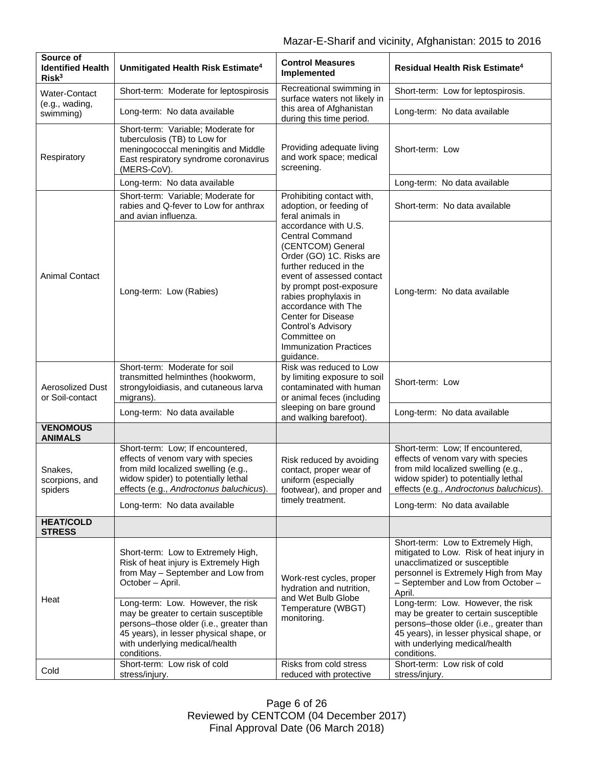| Source of<br><b>Identified Health</b><br>Risk <sup>3</sup> | Unmitigated Health Risk Estimate <sup>4</sup>                                                                                                                                                   | <b>Control Measures</b><br>Implemented                                                                                                                                                                                                                                                                                                                                                                                         | Residual Health Risk Estimate <sup>4</sup>                                                                                                                                                                                                   |
|------------------------------------------------------------|-------------------------------------------------------------------------------------------------------------------------------------------------------------------------------------------------|--------------------------------------------------------------------------------------------------------------------------------------------------------------------------------------------------------------------------------------------------------------------------------------------------------------------------------------------------------------------------------------------------------------------------------|----------------------------------------------------------------------------------------------------------------------------------------------------------------------------------------------------------------------------------------------|
| <b>Water-Contact</b><br>(e.g., wading,<br>swimming)        | Short-term: Moderate for leptospirosis                                                                                                                                                          | Recreational swimming in<br>surface waters not likely in<br>this area of Afghanistan<br>during this time period.                                                                                                                                                                                                                                                                                                               | Short-term: Low for leptospirosis.                                                                                                                                                                                                           |
|                                                            | Long-term: No data available                                                                                                                                                                    |                                                                                                                                                                                                                                                                                                                                                                                                                                | Long-term: No data available                                                                                                                                                                                                                 |
| Respiratory                                                | Short-term: Variable; Moderate for<br>tuberculosis (TB) to Low for<br>meningococcal meningitis and Middle<br>East respiratory syndrome coronavirus<br>(MERS-CoV).                               | Providing adequate living<br>and work space; medical<br>screening.                                                                                                                                                                                                                                                                                                                                                             | Short-term: Low                                                                                                                                                                                                                              |
|                                                            | Long-term: No data available                                                                                                                                                                    |                                                                                                                                                                                                                                                                                                                                                                                                                                | Long-term: No data available                                                                                                                                                                                                                 |
| <b>Animal Contact</b>                                      | Short-term: Variable; Moderate for<br>rabies and Q-fever to Low for anthrax<br>and avian influenza.                                                                                             | Prohibiting contact with,<br>adoption, or feeding of<br>feral animals in<br>accordance with U.S.<br><b>Central Command</b><br>(CENTCOM) General<br>Order (GO) 1C. Risks are<br>further reduced in the<br>event of assessed contact<br>by prompt post-exposure<br>rabies prophylaxis in<br>accordance with The<br><b>Center for Disease</b><br>Control's Advisory<br>Committee on<br><b>Immunization Practices</b><br>guidance. | Short-term: No data available                                                                                                                                                                                                                |
|                                                            | Long-term: Low (Rabies)                                                                                                                                                                         |                                                                                                                                                                                                                                                                                                                                                                                                                                | Long-term: No data available                                                                                                                                                                                                                 |
| <b>Aerosolized Dust</b><br>or Soil-contact                 | Short-term: Moderate for soil<br>transmitted helminthes (hookworm,<br>strongyloidiasis, and cutaneous larva<br>migrans).                                                                        | Risk was reduced to Low<br>by limiting exposure to soil<br>contaminated with human<br>or animal feces (including<br>sleeping on bare ground<br>and walking barefoot).                                                                                                                                                                                                                                                          | Short-term: Low                                                                                                                                                                                                                              |
|                                                            | Long-term: No data available                                                                                                                                                                    |                                                                                                                                                                                                                                                                                                                                                                                                                                | Long-term: No data available                                                                                                                                                                                                                 |
| <b>VENOMOUS</b><br><b>ANIMALS</b>                          |                                                                                                                                                                                                 |                                                                                                                                                                                                                                                                                                                                                                                                                                |                                                                                                                                                                                                                                              |
| Snakes,<br>scorpions, and<br>spiders                       | Short-term: Low; If encountered,<br>effects of venom vary with species<br>from mild localized swelling (e.g.,<br>widow spider) to potentially lethal<br>effects (e.g., Androctonus baluchicus). | Risk reduced by avoiding<br>contact, proper wear of<br>uniform (especially<br>footwear), and proper and<br>timely treatment.                                                                                                                                                                                                                                                                                                   | Short-term: Low; If encountered,<br>effects of venom vary with species<br>from mild localized swelling (e.g.,<br>widow spider) to potentially lethal<br>effects (e.g., Androctonus baluchicus).                                              |
|                                                            | Long-term: No data available                                                                                                                                                                    |                                                                                                                                                                                                                                                                                                                                                                                                                                | Long-term: No data available                                                                                                                                                                                                                 |
| <b>HEAT/COLD</b><br><b>STRESS</b>                          |                                                                                                                                                                                                 |                                                                                                                                                                                                                                                                                                                                                                                                                                |                                                                                                                                                                                                                                              |
| Heat                                                       | Short-term: Low to Extremely High,<br>Risk of heat injury is Extremely High<br>from May - September and Low from<br>October - April.<br>Long-term: Low. However, the risk                       | Work-rest cycles, proper<br>hydration and nutrition,<br>and Wet Bulb Globe<br>Temperature (WBGT)<br>monitoring.                                                                                                                                                                                                                                                                                                                | Short-term: Low to Extremely High,<br>mitigated to Low. Risk of heat injury in<br>unacclimatized or susceptible<br>personnel is Extremely High from May<br>- September and Low from October -<br>April.<br>Long-term: Low. However, the risk |
|                                                            | may be greater to certain susceptible<br>persons-those older (i.e., greater than<br>45 years), in lesser physical shape, or<br>with underlying medical/health<br>conditions.                    |                                                                                                                                                                                                                                                                                                                                                                                                                                | may be greater to certain susceptible<br>persons-those older (i.e., greater than<br>45 years), in lesser physical shape, or<br>with underlying medical/health<br>conditions.                                                                 |
| Cold                                                       | Short-term: Low risk of cold<br>stress/injury.                                                                                                                                                  | Risks from cold stress<br>reduced with protective                                                                                                                                                                                                                                                                                                                                                                              | Short-term: Low risk of cold<br>stress/injury.                                                                                                                                                                                               |

Page 6 of 26 Reviewed by CENTCOM (04 December 2017) Final Approval Date (06 March 2018)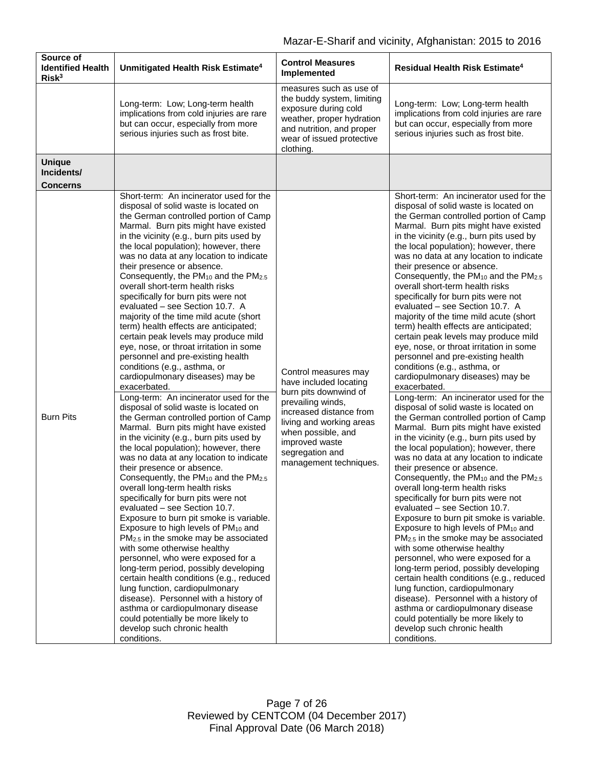| Source of<br><b>Identified Health</b><br>Risk <sup>3</sup> | Unmitigated Health Risk Estimate <sup>4</sup>                                                                                                                                                                                                                                                                                                                                                                                                                                                                                                                                                                                                                                                                                                                                                                                                                                                                                                                                                                                                                                                                                                                                                                                                                                                                                                                                                                                                                                                                                                                                                                                                                                                                                                                                                                                           | <b>Control Measures</b><br>Implemented                                                                                                                                                                                                   | Residual Health Risk Estimate <sup>4</sup>                                                                                                                                                                                                                                                                                                                                                                                                                                                                                                                                                                                                                                                                                                                                                                                                                                                                                                                                                                                                                                                                                                                                                                                                                                                                                                                                                                                                                                                                                                                                                                                                                                                                                                                                                                                              |
|------------------------------------------------------------|-----------------------------------------------------------------------------------------------------------------------------------------------------------------------------------------------------------------------------------------------------------------------------------------------------------------------------------------------------------------------------------------------------------------------------------------------------------------------------------------------------------------------------------------------------------------------------------------------------------------------------------------------------------------------------------------------------------------------------------------------------------------------------------------------------------------------------------------------------------------------------------------------------------------------------------------------------------------------------------------------------------------------------------------------------------------------------------------------------------------------------------------------------------------------------------------------------------------------------------------------------------------------------------------------------------------------------------------------------------------------------------------------------------------------------------------------------------------------------------------------------------------------------------------------------------------------------------------------------------------------------------------------------------------------------------------------------------------------------------------------------------------------------------------------------------------------------------------|------------------------------------------------------------------------------------------------------------------------------------------------------------------------------------------------------------------------------------------|-----------------------------------------------------------------------------------------------------------------------------------------------------------------------------------------------------------------------------------------------------------------------------------------------------------------------------------------------------------------------------------------------------------------------------------------------------------------------------------------------------------------------------------------------------------------------------------------------------------------------------------------------------------------------------------------------------------------------------------------------------------------------------------------------------------------------------------------------------------------------------------------------------------------------------------------------------------------------------------------------------------------------------------------------------------------------------------------------------------------------------------------------------------------------------------------------------------------------------------------------------------------------------------------------------------------------------------------------------------------------------------------------------------------------------------------------------------------------------------------------------------------------------------------------------------------------------------------------------------------------------------------------------------------------------------------------------------------------------------------------------------------------------------------------------------------------------------------|
|                                                            | Long-term: Low; Long-term health<br>implications from cold injuries are rare<br>but can occur, especially from more<br>serious injuries such as frost bite.                                                                                                                                                                                                                                                                                                                                                                                                                                                                                                                                                                                                                                                                                                                                                                                                                                                                                                                                                                                                                                                                                                                                                                                                                                                                                                                                                                                                                                                                                                                                                                                                                                                                             | measures such as use of<br>the buddy system, limiting<br>exposure during cold<br>weather, proper hydration<br>and nutrition, and proper<br>wear of issued protective<br>clothing.                                                        | Long-term: Low; Long-term health<br>implications from cold injuries are rare<br>but can occur, especially from more<br>serious injuries such as frost bite.                                                                                                                                                                                                                                                                                                                                                                                                                                                                                                                                                                                                                                                                                                                                                                                                                                                                                                                                                                                                                                                                                                                                                                                                                                                                                                                                                                                                                                                                                                                                                                                                                                                                             |
| <b>Unique</b><br>Incidents/<br><b>Concerns</b>             |                                                                                                                                                                                                                                                                                                                                                                                                                                                                                                                                                                                                                                                                                                                                                                                                                                                                                                                                                                                                                                                                                                                                                                                                                                                                                                                                                                                                                                                                                                                                                                                                                                                                                                                                                                                                                                         |                                                                                                                                                                                                                                          |                                                                                                                                                                                                                                                                                                                                                                                                                                                                                                                                                                                                                                                                                                                                                                                                                                                                                                                                                                                                                                                                                                                                                                                                                                                                                                                                                                                                                                                                                                                                                                                                                                                                                                                                                                                                                                         |
| <b>Burn Pits</b>                                           | Short-term: An incinerator used for the<br>disposal of solid waste is located on<br>the German controlled portion of Camp<br>Marmal. Burn pits might have existed<br>in the vicinity (e.g., burn pits used by<br>the local population); however, there<br>was no data at any location to indicate<br>their presence or absence.<br>Consequently, the PM <sub>10</sub> and the PM <sub>2.5</sub><br>overall short-term health risks<br>specifically for burn pits were not<br>evaluated - see Section 10.7. A<br>majority of the time mild acute (short<br>term) health effects are anticipated;<br>certain peak levels may produce mild<br>eye, nose, or throat irritation in some<br>personnel and pre-existing health<br>conditions (e.g., asthma, or<br>cardiopulmonary diseases) may be<br>exacerbated.<br>Long-term: An incinerator used for the<br>disposal of solid waste is located on<br>the German controlled portion of Camp<br>Marmal. Burn pits might have existed<br>in the vicinity (e.g., burn pits used by<br>the local population); however, there<br>was no data at any location to indicate<br>their presence or absence.<br>Consequently, the PM <sub>10</sub> and the PM <sub>2.5</sub><br>overall long-term health risks<br>specifically for burn pits were not<br>evaluated - see Section 10.7.<br>Exposure to burn pit smoke is variable.<br>Exposure to high levels of PM <sub>10</sub> and<br>PM <sub>2.5</sub> in the smoke may be associated<br>with some otherwise healthy<br>personnel, who were exposed for a<br>long-term period, possibly developing<br>certain health conditions (e.g., reduced<br>lung function, cardiopulmonary<br>disease). Personnel with a history of<br>asthma or cardiopulmonary disease<br>could potentially be more likely to<br>develop such chronic health<br>conditions. | Control measures may<br>have included locating<br>burn pits downwind of<br>prevailing winds,<br>increased distance from<br>living and working areas<br>when possible, and<br>improved waste<br>segregation and<br>management techniques. | Short-term: An incinerator used for the<br>disposal of solid waste is located on<br>the German controlled portion of Camp<br>Marmal. Burn pits might have existed<br>in the vicinity (e.g., burn pits used by<br>the local population); however, there<br>was no data at any location to indicate<br>their presence or absence.<br>Consequently, the PM <sub>10</sub> and the PM <sub>2.5</sub><br>overall short-term health risks<br>specifically for burn pits were not<br>evaluated - see Section 10.7. A<br>majority of the time mild acute (short<br>term) health effects are anticipated;<br>certain peak levels may produce mild<br>eye, nose, or throat irritation in some<br>personnel and pre-existing health<br>conditions (e.g., asthma, or<br>cardiopulmonary diseases) may be<br>exacerbated.<br>Long-term: An incinerator used for the<br>disposal of solid waste is located on<br>the German controlled portion of Camp<br>Marmal. Burn pits might have existed<br>in the vicinity (e.g., burn pits used by<br>the local population); however, there<br>was no data at any location to indicate<br>their presence or absence.<br>Consequently, the PM <sub>10</sub> and the PM <sub>2.5</sub><br>overall long-term health risks<br>specifically for burn pits were not<br>evaluated - see Section 10.7.<br>Exposure to burn pit smoke is variable.<br>Exposure to high levels of PM <sub>10</sub> and<br>PM <sub>2.5</sub> in the smoke may be associated<br>with some otherwise healthy<br>personnel, who were exposed for a<br>long-term period, possibly developing<br>certain health conditions (e.g., reduced<br>lung function, cardiopulmonary<br>disease). Personnel with a history of<br>asthma or cardiopulmonary disease<br>could potentially be more likely to<br>develop such chronic health<br>conditions. |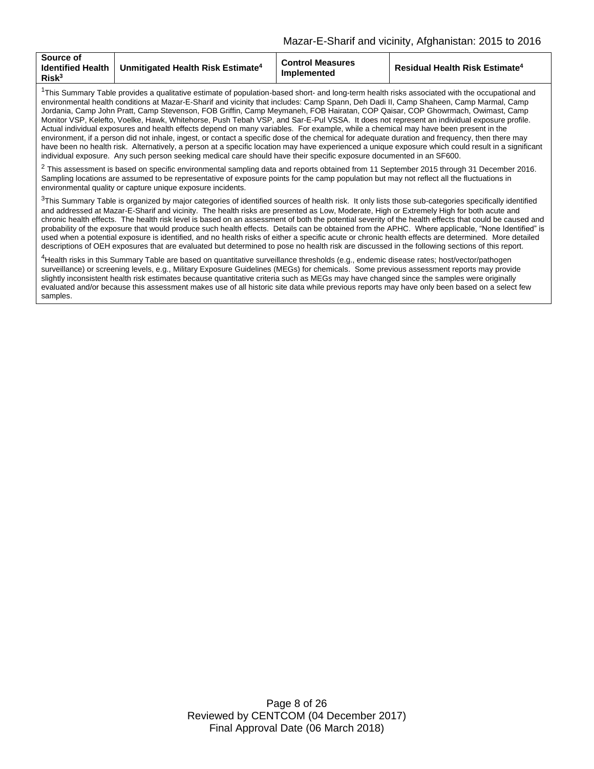| <b>Source of</b><br><b>Identified Health</b><br>Risk <sup>3</sup> | Unmitigated Health Risk Estimate <sup>4</sup> | <b>Control Measures</b><br><b>Implemented</b> | <b>Residual Health Risk Estimate<sup>4</sup></b> |
|-------------------------------------------------------------------|-----------------------------------------------|-----------------------------------------------|--------------------------------------------------|
|-------------------------------------------------------------------|-----------------------------------------------|-----------------------------------------------|--------------------------------------------------|

<sup>1</sup>This Summary Table provides a qualitative estimate of population-based short- and long-term health risks associated with the occupational and environmental health conditions at Mazar-E-Sharif and vicinity that includes: Camp Spann, Deh Dadi II, Camp Shaheen, Camp Marmal, Camp Jordania, Camp John Pratt, Camp Stevenson, FOB Griffin, Camp Meymaneh, FOB Hairatan, COP Qaisar, COP Ghowrmach, Owimast, Camp Monitor VSP, Kelefto, Voelke, Hawk, Whitehorse, Push Tebah VSP, and Sar-E-Pul VSSA. It does not represent an individual exposure profile. Actual individual exposures and health effects depend on many variables. For example, while a chemical may have been present in the environment, if a person did not inhale, ingest, or contact a specific dose of the chemical for adequate duration and frequency, then there may have been no health risk. Alternatively, a person at a specific location may have experienced a unique exposure which could result in a significant individual exposure. Any such person seeking medical care should have their specific exposure documented in an SF600.

 $2$  This assessment is based on specific environmental sampling data and reports obtained from 11 September 2015 through 31 December 2016. Sampling locations are assumed to be representative of exposure points for the camp population but may not reflect all the fluctuations in environmental quality or capture unique exposure incidents.

 $3$ This Summary Table is organized by major categories of identified sources of health risk. It only lists those sub-categories specifically identified and addressed at Mazar-E-Sharif and vicinity. The health risks are presented as Low, Moderate, High or Extremely High for both acute and chronic health effects. The health risk level is based on an assessment of both the potential severity of the health effects that could be caused and probability of the exposure that would produce such health effects. Details can be obtained from the APHC. Where applicable, "None Identified" is used when a potential exposure is identified, and no health risks of either a specific acute or chronic health effects are determined. More detailed descriptions of OEH exposures that are evaluated but determined to pose no health risk are discussed in the following sections of this report.

<sup>4</sup>Health risks in this Summary Table are based on quantitative surveillance thresholds (e.g., endemic disease rates; host/vector/pathogen surveillance) or screening levels, e.g., Military Exposure Guidelines (MEGs) for chemicals. Some previous assessment reports may provide slightly inconsistent health risk estimates because quantitative criteria such as MEGs may have changed since the samples were originally evaluated and/or because this assessment makes use of all historic site data while previous reports may have only been based on a select few samples.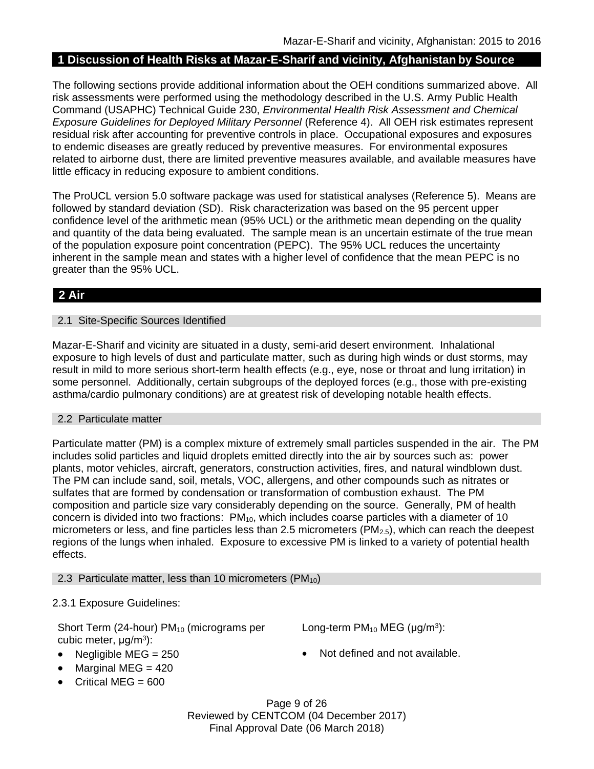# **1 Discussion of Health Risks at Mazar-E-Sharif and vicinity, Afghanistan by Source**

The following sections provide additional information about the OEH conditions summarized above. All risk assessments were performed using the methodology described in the U.S. Army Public Health Command (USAPHC) Technical Guide 230, *Environmental Health Risk Assessment and Chemical Exposure Guidelines for Deployed Military Personnel* (Reference 4). All OEH risk estimates represent residual risk after accounting for preventive controls in place. Occupational exposures and exposures to endemic diseases are greatly reduced by preventive measures. For environmental exposures related to airborne dust, there are limited preventive measures available, and available measures have little efficacy in reducing exposure to ambient conditions.

The ProUCL version 5.0 software package was used for statistical analyses (Reference 5). Means are followed by standard deviation (SD). Risk characterization was based on the 95 percent upper confidence level of the arithmetic mean (95% UCL) or the arithmetic mean depending on the quality and quantity of the data being evaluated. The sample mean is an uncertain estimate of the true mean of the population exposure point concentration (PEPC). The 95% UCL reduces the uncertainty inherent in the sample mean and states with a higher level of confidence that the mean PEPC is no greater than the 95% UCL.

# **2 Air**

#### 2.1 Site-Specific Sources Identified

Mazar-E-Sharif and vicinity are situated in a dusty, semi-arid desert environment. Inhalational exposure to high levels of dust and particulate matter, such as during high winds or dust storms, may result in mild to more serious short-term health effects (e.g., eye, nose or throat and lung irritation) in some personnel. Additionally, certain subgroups of the deployed forces (e.g., those with pre-existing asthma/cardio pulmonary conditions) are at greatest risk of developing notable health effects.

### 2.2 Particulate matter

Particulate matter (PM) is a complex mixture of extremely small particles suspended in the air. The PM includes solid particles and liquid droplets emitted directly into the air by sources such as: power plants, motor vehicles, aircraft, generators, construction activities, fires, and natural windblown dust. The PM can include sand, soil, metals, VOC, allergens, and other compounds such as nitrates or sulfates that are formed by condensation or transformation of combustion exhaust. The PM composition and particle size vary considerably depending on the source. Generally, PM of health concern is divided into two fractions:  $PM_{10}$ , which includes coarse particles with a diameter of 10 micrometers or less, and fine particles less than 2.5 micrometers ( $PM_{2.5}$ ), which can reach the deepest regions of the lungs when inhaled. Exposure to excessive PM is linked to a variety of potential health effects.

### 2.3 Particulate matter, less than 10 micrometers ( $PM_{10}$ )

### 2.3.1 Exposure Guidelines:

Short Term (24-hour)  $PM_{10}$  (micrograms per cubic meter, μg/m<sup>3</sup>):

- 
- $\bullet$  Marginal MEG = 420
- Critical MEG =  $600$

Long-term  $PM_{10}$  MEG ( $\mu$ g/m<sup>3</sup>):

• Negligible MEG = 250 **a** Not defined and not available.

Page 9 of 26 Reviewed by CENTCOM (04 December 2017) Final Approval Date (06 March 2018)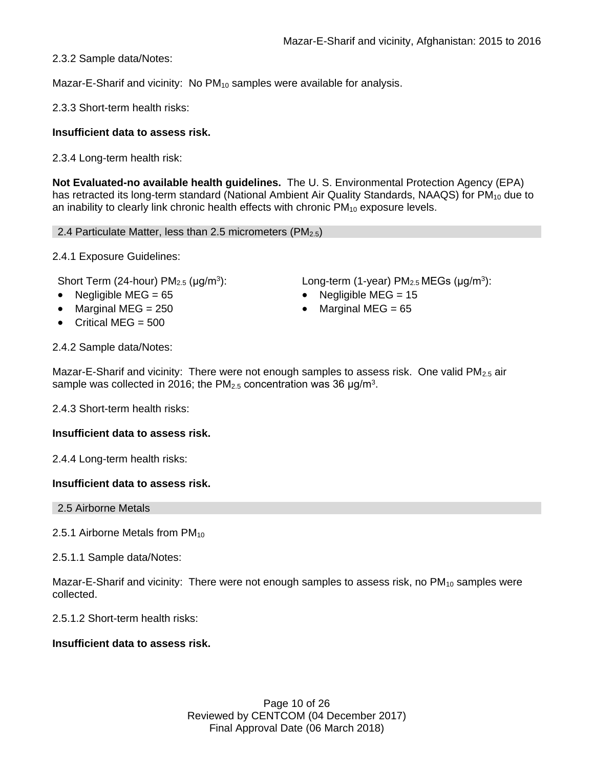2.3.2 Sample data/Notes:

Mazar-E-Sharif and vicinity: No PM<sub>10</sub> samples were available for analysis.

2.3.3 Short-term health risks:

# **Insufficient data to assess risk.**

2.3.4 Long-term health risk:

**Not Evaluated-no available health guidelines.** The U. S. Environmental Protection Agency (EPA) has retracted its long-term standard (National Ambient Air Quality Standards, NAAQS) for PM<sub>10</sub> due to an inability to clearly link chronic health effects with chronic  $PM_{10}$  exposure levels.

2.4 Particulate Matter, less than 2.5 micrometers ( $PM<sub>2.5</sub>$ )

2.4.1 Exposure Guidelines:

Short Term (24-hour)  $PM<sub>2.5</sub>$  ( $\mu$ g/m<sup>3</sup>):

- Negligible MEG = 65 Negligible MEG = 15
- Marginal MEG = 250 Marginal MEG = 65
- $\bullet$  Critical MFG = 500

):  $Long-term (1-year) PM<sub>2.5</sub> MEGs (µg/m<sup>3</sup>):$ 

- 
- 

2.4.2 Sample data/Notes:

Mazar-E-Sharif and vicinity: There were not enough samples to assess risk. One valid  $PM_{2.5}$  air sample was collected in 2016; the PM<sub>2.5</sub> concentration was 36  $\mu$ g/m<sup>3</sup>.

2.4.3 Short-term health risks:

### **Insufficient data to assess risk.**

2.4.4 Long-term health risks:

### **Insufficient data to assess risk.**

2.5 Airborne Metals

2.5.1 Airborne Metals from  $PM_{10}$ 

2.5.1.1 Sample data/Notes:

Mazar-E-Sharif and vicinity: There were not enough samples to assess risk, no  $PM_{10}$  samples were collected.

2.5.1.2 Short-term health risks:

# **Insufficient data to assess risk.**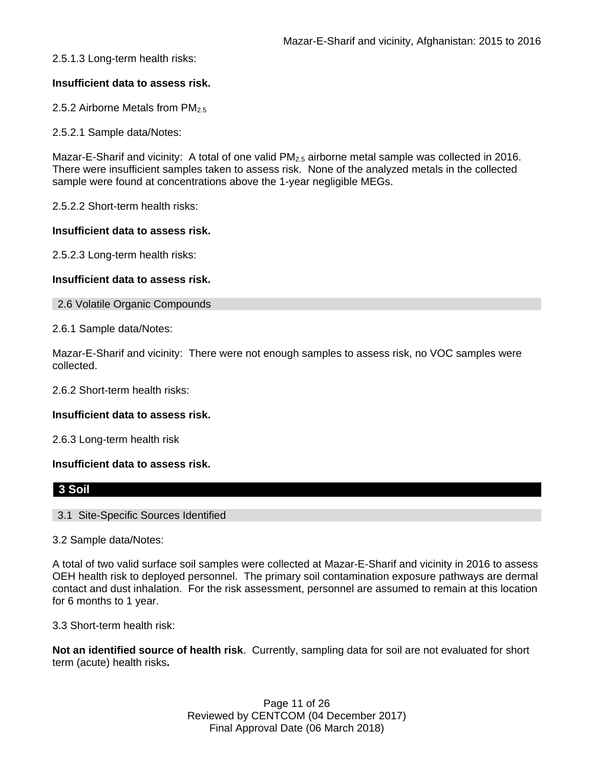2.5.1.3 Long-term health risks:

# **Insufficient data to assess risk.**

2.5.2 Airborne Metals from PM<sub>2.5</sub>

2.5.2.1 Sample data/Notes:

Mazar-E-Sharif and vicinity: A total of one valid  $PM_{2.5}$  airborne metal sample was collected in 2016. There were insufficient samples taken to assess risk. None of the analyzed metals in the collected sample were found at concentrations above the 1-year negligible MEGs.

2.5.2.2 Short-term health risks:

### **Insufficient data to assess risk.**

2.5.2.3 Long-term health risks:

## **Insufficient data to assess risk.**

2.6 Volatile Organic Compounds

2.6.1 Sample data/Notes:

Mazar-E-Sharif and vicinity: There were not enough samples to assess risk, no VOC samples were collected.

2.6.2 Short-term health risks:

### **Insufficient data to assess risk.**

2.6.3 Long-term health risk

### **Insufficient data to assess risk.**

# **3 Soil**

3.1 Site-Specific Sources Identified

3.2 Sample data/Notes:

A total of two valid surface soil samples were collected at Mazar-E-Sharif and vicinity in 2016 to assess OEH health risk to deployed personnel. The primary soil contamination exposure pathways are dermal contact and dust inhalation. For the risk assessment, personnel are assumed to remain at this location for 6 months to 1 year.

3.3 Short-term health risk:

**Not an identified source of health risk**. Currently, sampling data for soil are not evaluated for short term (acute) health risks**.**

> Page 11 of 26 Reviewed by CENTCOM (04 December 2017) Final Approval Date (06 March 2018)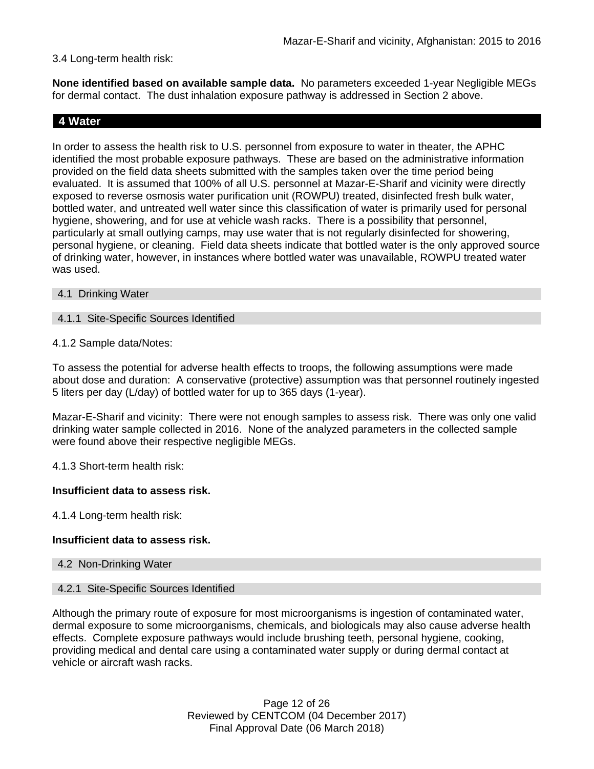## 3.4 Long-term health risk:

**None identified based on available sample data.** No parameters exceeded 1-year Negligible MEGs for dermal contact. The dust inhalation exposure pathway is addressed in Section 2 above.

# **4 Water**

In order to assess the health risk to U.S. personnel from exposure to water in theater, the APHC identified the most probable exposure pathways. These are based on the administrative information provided on the field data sheets submitted with the samples taken over the time period being evaluated. It is assumed that 100% of all U.S. personnel at Mazar-E-Sharif and vicinity were directly exposed to reverse osmosis water purification unit (ROWPU) treated, disinfected fresh bulk water, bottled water, and untreated well water since this classification of water is primarily used for personal hygiene, showering, and for use at vehicle wash racks. There is a possibility that personnel, particularly at small outlying camps, may use water that is not regularly disinfected for showering, personal hygiene, or cleaning. Field data sheets indicate that bottled water is the only approved source of drinking water, however, in instances where bottled water was unavailable, ROWPU treated water was used.

- 4.1 Drinking Water
- 4.1.1 Site-Specific Sources Identified
- 4.1.2 Sample data/Notes:

To assess the potential for adverse health effects to troops, the following assumptions were made about dose and duration: A conservative (protective) assumption was that personnel routinely ingested 5 liters per day (L/day) of bottled water for up to 365 days (1-year).

Mazar-E-Sharif and vicinity: There were not enough samples to assess risk. There was only one valid drinking water sample collected in 2016. None of the analyzed parameters in the collected sample were found above their respective negligible MEGs.

4.1.3 Short-term health risk:

### **Insufficient data to assess risk.**

4.1.4 Long-term health risk:

### **Insufficient data to assess risk.**

#### 4.2 Non-Drinking Water

#### 4.2.1 Site-Specific Sources Identified

Although the primary route of exposure for most microorganisms is ingestion of contaminated water, dermal exposure to some microorganisms, chemicals, and biologicals may also cause adverse health effects. Complete exposure pathways would include brushing teeth, personal hygiene, cooking, providing medical and dental care using a contaminated water supply or during dermal contact at vehicle or aircraft wash racks.

> Page 12 of 26 Reviewed by CENTCOM (04 December 2017) Final Approval Date (06 March 2018)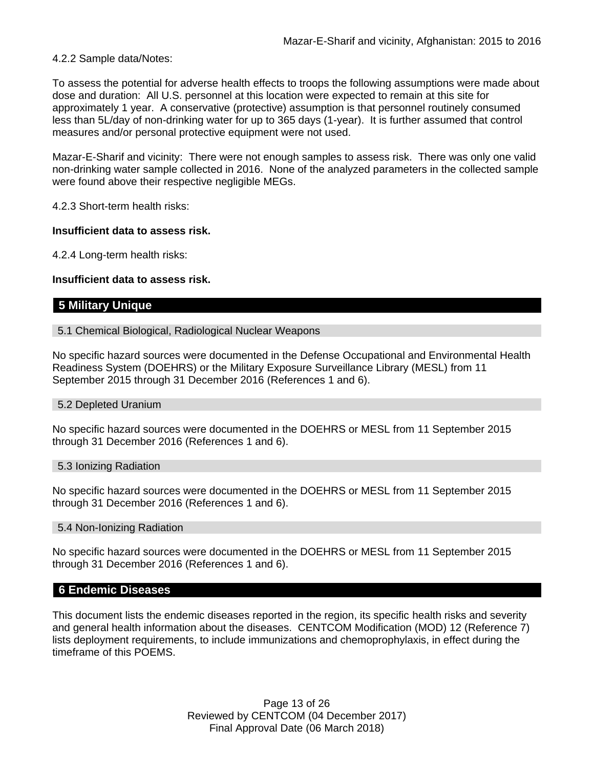#### 4.2.2 Sample data/Notes:

To assess the potential for adverse health effects to troops the following assumptions were made about dose and duration: All U.S. personnel at this location were expected to remain at this site for approximately 1 year. A conservative (protective) assumption is that personnel routinely consumed less than 5L/day of non-drinking water for up to 365 days (1-year). It is further assumed that control measures and/or personal protective equipment were not used.

Mazar-E-Sharif and vicinity: There were not enough samples to assess risk. There was only one valid non-drinking water sample collected in 2016. None of the analyzed parameters in the collected sample were found above their respective negligible MEGs.

4.2.3 Short-term health risks:

#### **Insufficient data to assess risk.**

4.2.4 Long-term health risks:

### **Insufficient data to assess risk.**

# **5 Military Unique**

#### 5.1 Chemical Biological, Radiological Nuclear Weapons

No specific hazard sources were documented in the Defense Occupational and Environmental Health Readiness System (DOEHRS) or the Military Exposure Surveillance Library (MESL) from 11 September 2015 through 31 December 2016 (References 1 and 6).

#### 5.2 Depleted Uranium

No specific hazard sources were documented in the DOEHRS or MESL from 11 September 2015 through 31 December 2016 (References 1 and 6).

#### 5.3 Ionizing Radiation

No specific hazard sources were documented in the DOEHRS or MESL from 11 September 2015 through 31 December 2016 (References 1 and 6).

#### 5.4 Non-Ionizing Radiation

No specific hazard sources were documented in the DOEHRS or MESL from 11 September 2015 through 31 December 2016 (References 1 and 6).

### **6 Endemic Diseases**

This document lists the endemic diseases reported in the region, its specific health risks and severity and general health information about the diseases. CENTCOM Modification (MOD) 12 (Reference 7) lists deployment requirements, to include immunizations and chemoprophylaxis, in effect during the timeframe of this POEMS.

> Page 13 of 26 Reviewed by CENTCOM (04 December 2017) Final Approval Date (06 March 2018)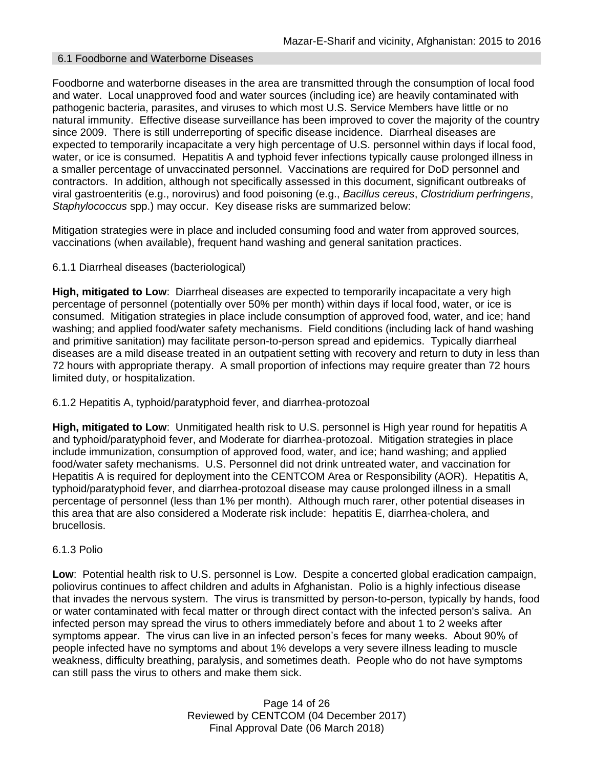#### 6.1 Foodborne and Waterborne Diseases

Foodborne and waterborne diseases in the area are transmitted through the consumption of local food and water. Local unapproved food and water sources (including ice) are heavily contaminated with pathogenic bacteria, parasites, and viruses to which most U.S. Service Members have little or no natural immunity. Effective disease surveillance has been improved to cover the majority of the country since 2009. There is still underreporting of specific disease incidence. Diarrheal diseases are expected to temporarily incapacitate a very high percentage of U.S. personnel within days if local food, water, or ice is consumed. Hepatitis A and typhoid fever infections typically cause prolonged illness in a smaller percentage of unvaccinated personnel. Vaccinations are required for DoD personnel and contractors. In addition, although not specifically assessed in this document, significant outbreaks of viral gastroenteritis (e.g., norovirus) and food poisoning (e.g., *Bacillus cereus*, *Clostridium perfringens*, *Staphylococcus* spp.) may occur. Key disease risks are summarized below:

Mitigation strategies were in place and included consuming food and water from approved sources, vaccinations (when available), frequent hand washing and general sanitation practices.

#### 6.1.1 Diarrheal diseases (bacteriological)

**High, mitigated to Low**: Diarrheal diseases are expected to temporarily incapacitate a very high percentage of personnel (potentially over 50% per month) within days if local food, water, or ice is consumed. Mitigation strategies in place include consumption of approved food, water, and ice; hand washing; and applied food/water safety mechanisms. Field conditions (including lack of hand washing and primitive sanitation) may facilitate person-to-person spread and epidemics. Typically diarrheal diseases are a mild disease treated in an outpatient setting with recovery and return to duty in less than 72 hours with appropriate therapy. A small proportion of infections may require greater than 72 hours limited duty, or hospitalization.

#### 6.1.2 Hepatitis A, typhoid/paratyphoid fever, and diarrhea-protozoal

**High, mitigated to Low**: Unmitigated health risk to U.S. personnel is High year round for hepatitis A and typhoid/paratyphoid fever, and Moderate for diarrhea-protozoal. Mitigation strategies in place include immunization, consumption of approved food, water, and ice; hand washing; and applied food/water safety mechanisms. U.S. Personnel did not drink untreated water, and vaccination for Hepatitis A is required for deployment into the CENTCOM Area or Responsibility (AOR). Hepatitis A, typhoid/paratyphoid fever, and diarrhea-protozoal disease may cause prolonged illness in a small percentage of personnel (less than 1% per month). Although much rarer, other potential diseases in this area that are also considered a Moderate risk include: hepatitis E, diarrhea-cholera, and brucellosis.

## 6.1.3 Polio

**Low**: Potential health risk to U.S. personnel is Low. Despite a concerted global eradication campaign, poliovirus continues to affect children and adults in Afghanistan. Polio is a highly infectious disease that invades the nervous system. The virus is transmitted by person-to-person, typically by hands, food or water contaminated with fecal matter or through direct contact with the infected person's saliva. An infected person may spread the virus to others immediately before and about 1 to 2 weeks after symptoms appear. The virus can live in an infected person's feces for many weeks. About 90% of people infected have no symptoms and about 1% develops a very severe illness leading to muscle weakness, difficulty breathing, paralysis, and sometimes death. People who do not have symptoms can still pass the virus to others and make them sick.

> Page 14 of 26 Reviewed by CENTCOM (04 December 2017) Final Approval Date (06 March 2018)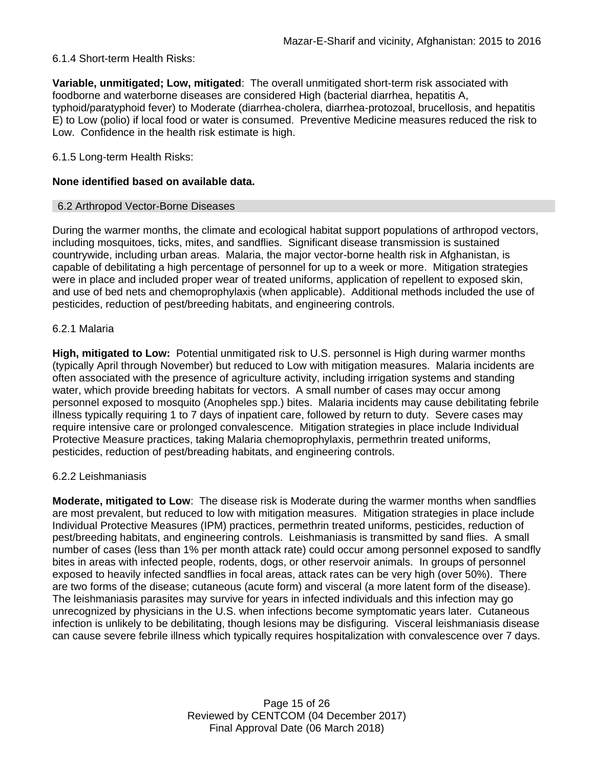## 6.1.4 Short-term Health Risks:

**Variable, unmitigated; Low, mitigated**: The overall unmitigated short-term risk associated with foodborne and waterborne diseases are considered High (bacterial diarrhea, hepatitis A, typhoid/paratyphoid fever) to Moderate (diarrhea-cholera, diarrhea-protozoal, brucellosis, and hepatitis E) to Low (polio) if local food or water is consumed. Preventive Medicine measures reduced the risk to Low. Confidence in the health risk estimate is high.

### 6.1.5 Long-term Health Risks:

## **None identified based on available data.**

### 6.2 Arthropod Vector-Borne Diseases

During the warmer months, the climate and ecological habitat support populations of arthropod vectors, including mosquitoes, ticks, mites, and sandflies. Significant disease transmission is sustained countrywide, including urban areas. Malaria, the major vector-borne health risk in Afghanistan, is capable of debilitating a high percentage of personnel for up to a week or more. Mitigation strategies were in place and included proper wear of treated uniforms, application of repellent to exposed skin, and use of bed nets and chemoprophylaxis (when applicable). Additional methods included the use of pesticides, reduction of pest/breeding habitats, and engineering controls.

### 6.2.1 Malaria

**High, mitigated to Low:** Potential unmitigated risk to U.S. personnel is High during warmer months (typically April through November) but reduced to Low with mitigation measures. Malaria incidents are often associated with the presence of agriculture activity, including irrigation systems and standing water, which provide breeding habitats for vectors. A small number of cases may occur among personnel exposed to mosquito (Anopheles spp.) bites. Malaria incidents may cause debilitating febrile illness typically requiring 1 to 7 days of inpatient care, followed by return to duty. Severe cases may require intensive care or prolonged convalescence. Mitigation strategies in place include Individual Protective Measure practices, taking Malaria chemoprophylaxis, permethrin treated uniforms, pesticides, reduction of pest/breading habitats, and engineering controls.

### 6.2.2 Leishmaniasis

**Moderate, mitigated to Low**: The disease risk is Moderate during the warmer months when sandflies are most prevalent, but reduced to low with mitigation measures. Mitigation strategies in place include Individual Protective Measures (IPM) practices, permethrin treated uniforms, pesticides, reduction of pest/breeding habitats, and engineering controls. Leishmaniasis is transmitted by sand flies. A small number of cases (less than 1% per month attack rate) could occur among personnel exposed to sandfly bites in areas with infected people, rodents, dogs, or other reservoir animals. In groups of personnel exposed to heavily infected sandflies in focal areas, attack rates can be very high (over 50%). There are two forms of the disease; cutaneous (acute form) and visceral (a more latent form of the disease). The leishmaniasis parasites may survive for years in infected individuals and this infection may go unrecognized by physicians in the U.S. when infections become symptomatic years later. Cutaneous infection is unlikely to be debilitating, though lesions may be disfiguring. Visceral leishmaniasis disease can cause severe febrile illness which typically requires hospitalization with convalescence over 7 days.

> Page 15 of 26 Reviewed by CENTCOM (04 December 2017) Final Approval Date (06 March 2018)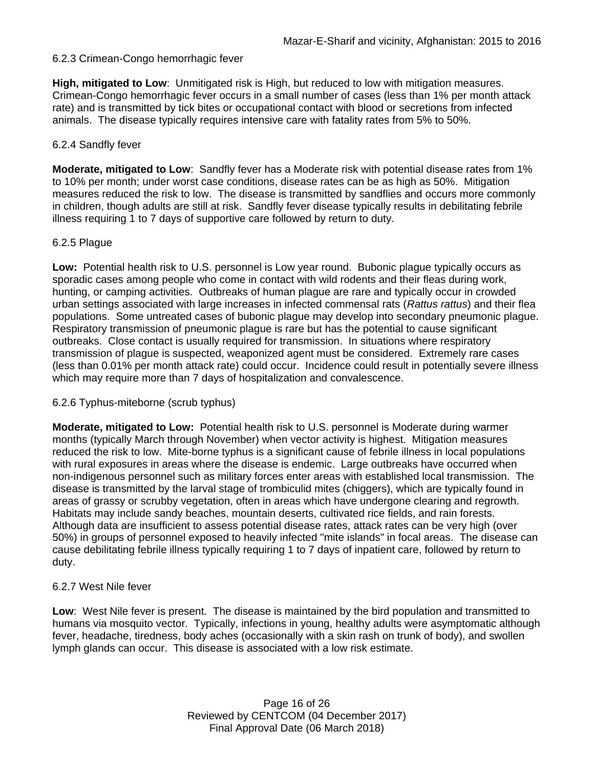## 6.2.3 Crimean-Congo hemorrhagic fever

**High, mitigated to Low**: Unmitigated risk is High, but reduced to low with mitigation measures. Crimean-Congo hemorrhagic fever occurs in a small number of cases (less than 1% per month attack rate) and is transmitted by tick bites or occupational contact with blood or secretions from infected animals. The disease typically requires intensive care with fatality rates from 5% to 50%.

#### 6.2.4 Sandfly fever

**Moderate, mitigated to Low**: Sandfly fever has a Moderate risk with potential disease rates from 1% to 10% per month; under worst case conditions, disease rates can be as high as 50%. Mitigation measures reduced the risk to low. The disease is transmitted by sandflies and occurs more commonly in children, though adults are still at risk. Sandfly fever disease typically results in debilitating febrile illness requiring 1 to 7 days of supportive care followed by return to duty.

### 6.2.5 Plague

**Low:** Potential health risk to U.S. personnel is Low year round. Bubonic plague typically occurs as sporadic cases among people who come in contact with wild rodents and their fleas during work, hunting, or camping activities. Outbreaks of human plague are rare and typically occur in crowded urban settings associated with large increases in infected commensal rats (*Rattus rattus*) and their flea populations. Some untreated cases of bubonic plague may develop into secondary pneumonic plague. Respiratory transmission of pneumonic plague is rare but has the potential to cause significant outbreaks. Close contact is usually required for transmission. In situations where respiratory transmission of plague is suspected, weaponized agent must be considered. Extremely rare cases (less than 0.01% per month attack rate) could occur. Incidence could result in potentially severe illness which may require more than 7 days of hospitalization and convalescence.

### 6.2.6 Typhus-miteborne (scrub typhus)

**Moderate, mitigated to Low:** Potential health risk to U.S. personnel is Moderate during warmer months (typically March through November) when vector activity is highest. Mitigation measures reduced the risk to low. Mite-borne typhus is a significant cause of febrile illness in local populations with rural exposures in areas where the disease is endemic. Large outbreaks have occurred when non-indigenous personnel such as military forces enter areas with established local transmission. The disease is transmitted by the larval stage of trombiculid mites (chiggers), which are typically found in areas of grassy or scrubby vegetation, often in areas which have undergone clearing and regrowth. Habitats may include sandy beaches, mountain deserts, cultivated rice fields, and rain forests. Although data are insufficient to assess potential disease rates, attack rates can be very high (over 50%) in groups of personnel exposed to heavily infected "mite islands" in focal areas. The disease can cause debilitating febrile illness typically requiring 1 to 7 days of inpatient care, followed by return to duty.

### 6.2.7 West Nile fever

**Low**: West Nile fever is present. The disease is maintained by the bird population and transmitted to humans via mosquito vector. Typically, infections in young, healthy adults were asymptomatic although fever, headache, tiredness, body aches (occasionally with a skin rash on trunk of body), and swollen lymph glands can occur. This disease is associated with a low risk estimate.

> Page 16 of 26 Reviewed by CENTCOM (04 December 2017) Final Approval Date (06 March 2018)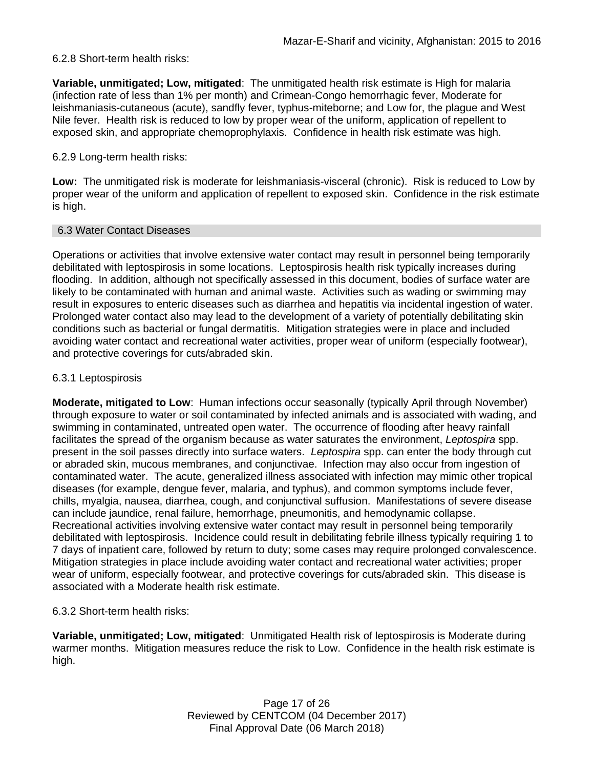### 6.2.8 Short-term health risks:

**Variable, unmitigated; Low, mitigated**:The unmitigated health risk estimate is High for malaria (infection rate of less than 1% per month) and Crimean-Congo hemorrhagic fever, Moderate for leishmaniasis-cutaneous (acute), sandfly fever, typhus-miteborne; and Low for, the plague and West Nile fever. Health risk is reduced to low by proper wear of the uniform, application of repellent to exposed skin, and appropriate chemoprophylaxis. Confidence in health risk estimate was high.

## 6.2.9 Long-term health risks:

**Low:** The unmitigated risk is moderate for leishmaniasis-visceral (chronic). Risk is reduced to Low by proper wear of the uniform and application of repellent to exposed skin. Confidence in the risk estimate is high.

### 6.3 Water Contact Diseases

Operations or activities that involve extensive water contact may result in personnel being temporarily debilitated with leptospirosis in some locations. Leptospirosis health risk typically increases during flooding. In addition, although not specifically assessed in this document, bodies of surface water are likely to be contaminated with human and animal waste. Activities such as wading or swimming may result in exposures to enteric diseases such as diarrhea and hepatitis via incidental ingestion of water. Prolonged water contact also may lead to the development of a variety of potentially debilitating skin conditions such as bacterial or fungal dermatitis. Mitigation strategies were in place and included avoiding water contact and recreational water activities, proper wear of uniform (especially footwear), and protective coverings for cuts/abraded skin.

## 6.3.1 Leptospirosis

**Moderate, mitigated to Low**: Human infections occur seasonally (typically April through November) through exposure to water or soil contaminated by infected animals and is associated with wading, and swimming in contaminated, untreated open water. The occurrence of flooding after heavy rainfall facilitates the spread of the organism because as water saturates the environment, *Leptospira* spp. present in the soil passes directly into surface waters. *Leptospira* spp. can enter the body through cut or abraded skin, mucous membranes, and conjunctivae. Infection may also occur from ingestion of contaminated water. The acute, generalized illness associated with infection may mimic other tropical diseases (for example, dengue fever, malaria, and typhus), and common symptoms include fever, chills, myalgia, nausea, diarrhea, cough, and conjunctival suffusion. Manifestations of severe disease can include jaundice, renal failure, hemorrhage, pneumonitis, and hemodynamic collapse. Recreational activities involving extensive water contact may result in personnel being temporarily debilitated with leptospirosis. Incidence could result in debilitating febrile illness typically requiring 1 to 7 days of inpatient care, followed by return to duty; some cases may require prolonged convalescence. Mitigation strategies in place include avoiding water contact and recreational water activities; proper wear of uniform, especially footwear, and protective coverings for cuts/abraded skin. This disease is associated with a Moderate health risk estimate.

# 6.3.2 Short-term health risks:

**Variable, unmitigated; Low, mitigated**:Unmitigated Health risk of leptospirosis is Moderate during warmer months. Mitigation measures reduce the risk to Low. Confidence in the health risk estimate is high.

> Page 17 of 26 Reviewed by CENTCOM (04 December 2017) Final Approval Date (06 March 2018)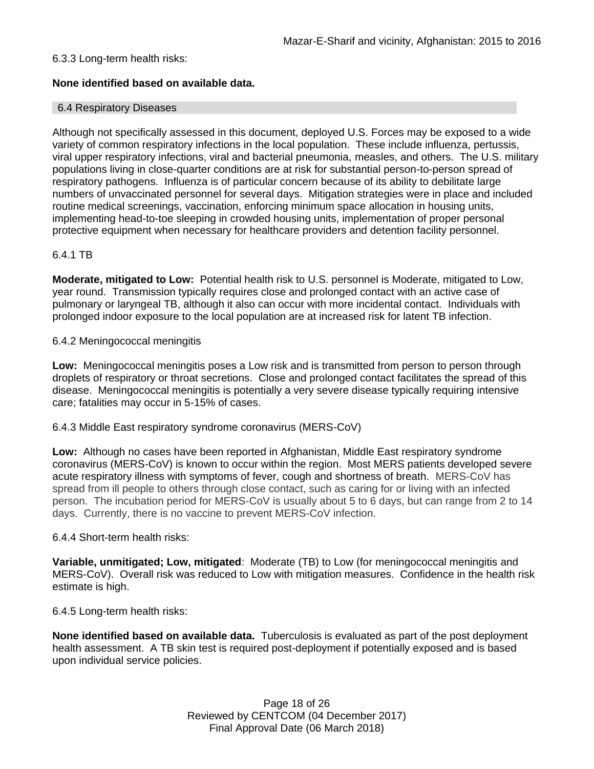## 6.3.3 Long-term health risks:

## **None identified based on available data.**

### 6.4 Respiratory Diseases

Although not specifically assessed in this document, deployed U.S. Forces may be exposed to a wide variety of common respiratory infections in the local population. These include influenza, pertussis, viral upper respiratory infections, viral and bacterial pneumonia, measles, and others. The U.S. military populations living in close-quarter conditions are at risk for substantial person-to-person spread of respiratory pathogens. Influenza is of particular concern because of its ability to debilitate large numbers of unvaccinated personnel for several days. Mitigation strategies were in place and included routine medical screenings, vaccination, enforcing minimum space allocation in housing units, implementing head-to-toe sleeping in crowded housing units, implementation of proper personal protective equipment when necessary for healthcare providers and detention facility personnel.

### 6.4.1 TB

**Moderate, mitigated to Low:** Potential health risk to U.S. personnel is Moderate, mitigated to Low, year round. Transmission typically requires close and prolonged contact with an active case of pulmonary or laryngeal TB, although it also can occur with more incidental contact. Individuals with prolonged indoor exposure to the local population are at increased risk for latent TB infection.

### 6.4.2 Meningococcal meningitis

**Low:** Meningococcal meningitis poses a Low risk and is transmitted from person to person through droplets of respiratory or throat secretions. Close and prolonged contact facilitates the spread of this disease. Meningococcal meningitis is potentially a very severe disease typically requiring intensive care; fatalities may occur in 5-15% of cases.

### 6.4.3 Middle East respiratory syndrome coronavirus (MERS-CoV)

**Low:** Although no cases have been reported in Afghanistan, Middle East respiratory syndrome coronavirus (MERS-CoV) is known to occur within the region. Most MERS patients developed severe acute respiratory illness with symptoms of fever, cough and shortness of breath. MERS-CoV has spread from ill people to others through close contact, such as caring for or living with an infected person. The incubation period for MERS-CoV is usually about 5 to 6 days, but can range from 2 to 14 days. Currently, there is no vaccine to prevent MERS-CoV infection.

### 6.4.4 Short-term health risks:

**Variable, unmitigated; Low, mitigated**:Moderate (TB) to Low (for meningococcal meningitis and MERS-CoV). Overall risk was reduced to Low with mitigation measures. Confidence in the health risk estimate is high.

6.4.5 Long-term health risks:

**None identified based on available data.** Tuberculosis is evaluated as part of the post deployment health assessment. A TB skin test is required post-deployment if potentially exposed and is based upon individual service policies.

> Page 18 of 26 Reviewed by CENTCOM (04 December 2017) Final Approval Date (06 March 2018)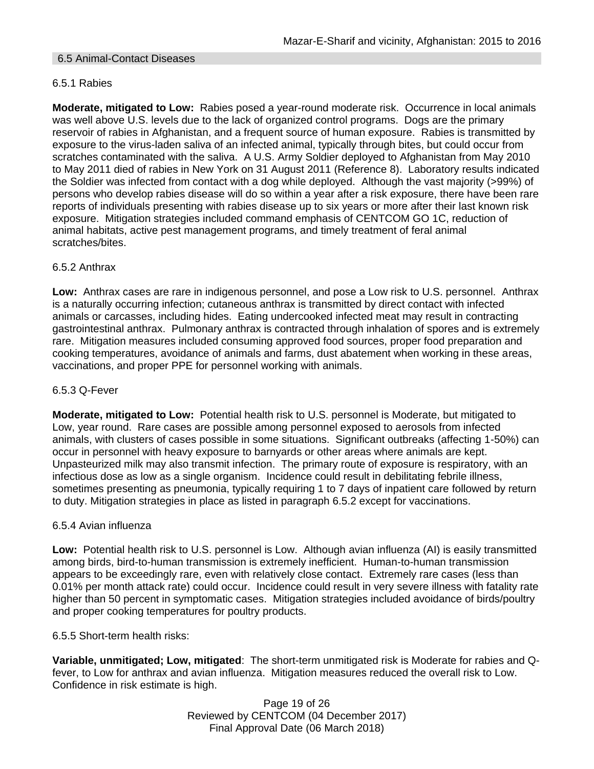### 6.5 Animal-Contact Diseases

# 6.5.1 Rabies

**Moderate, mitigated to Low:** Rabies posed a year-round moderate risk. Occurrence in local animals was well above U.S. levels due to the lack of organized control programs. Dogs are the primary reservoir of rabies in Afghanistan, and a frequent source of human exposure. Rabies is transmitted by exposure to the virus-laden saliva of an infected animal, typically through bites, but could occur from scratches contaminated with the saliva. A U.S. Army Soldier deployed to Afghanistan from May 2010 to May 2011 died of rabies in New York on 31 August 2011 (Reference 8). Laboratory results indicated the Soldier was infected from contact with a dog while deployed. Although the vast majority (>99%) of persons who develop rabies disease will do so within a year after a risk exposure, there have been rare reports of individuals presenting with rabies disease up to six years or more after their last known risk exposure. Mitigation strategies included command emphasis of CENTCOM GO 1C, reduction of animal habitats, active pest management programs, and timely treatment of feral animal scratches/bites.

## 6.5.2 Anthrax

**Low:** Anthrax cases are rare in indigenous personnel, and pose a Low risk to U.S. personnel. Anthrax is a naturally occurring infection; cutaneous anthrax is transmitted by direct contact with infected animals or carcasses, including hides. Eating undercooked infected meat may result in contracting gastrointestinal anthrax. Pulmonary anthrax is contracted through inhalation of spores and is extremely rare. Mitigation measures included consuming approved food sources, proper food preparation and cooking temperatures, avoidance of animals and farms, dust abatement when working in these areas, vaccinations, and proper PPE for personnel working with animals.

### 6.5.3 Q-Fever

**Moderate, mitigated to Low:** Potential health risk to U.S. personnel is Moderate, but mitigated to Low, year round. Rare cases are possible among personnel exposed to aerosols from infected animals, with clusters of cases possible in some situations. Significant outbreaks (affecting 1-50%) can occur in personnel with heavy exposure to barnyards or other areas where animals are kept. Unpasteurized milk may also transmit infection. The primary route of exposure is respiratory, with an infectious dose as low as a single organism. Incidence could result in debilitating febrile illness, sometimes presenting as pneumonia, typically requiring 1 to 7 days of inpatient care followed by return to duty. Mitigation strategies in place as listed in paragraph 6.5.2 except for vaccinations.

### 6.5.4 Avian influenza

**Low:** Potential health risk to U.S. personnel is Low. Although avian influenza (AI) is easily transmitted among birds, bird-to-human transmission is extremely inefficient. Human-to-human transmission appears to be exceedingly rare, even with relatively close contact. Extremely rare cases (less than 0.01% per month attack rate) could occur. Incidence could result in very severe illness with fatality rate higher than 50 percent in symptomatic cases. Mitigation strategies included avoidance of birds/poultry and proper cooking temperatures for poultry products.

### 6.5.5 Short-term health risks:

**Variable, unmitigated; Low, mitigated**:The short-term unmitigated risk is Moderate for rabies and Qfever, to Low for anthrax and avian influenza. Mitigation measures reduced the overall risk to Low. Confidence in risk estimate is high.

> Page 19 of 26 Reviewed by CENTCOM (04 December 2017) Final Approval Date (06 March 2018)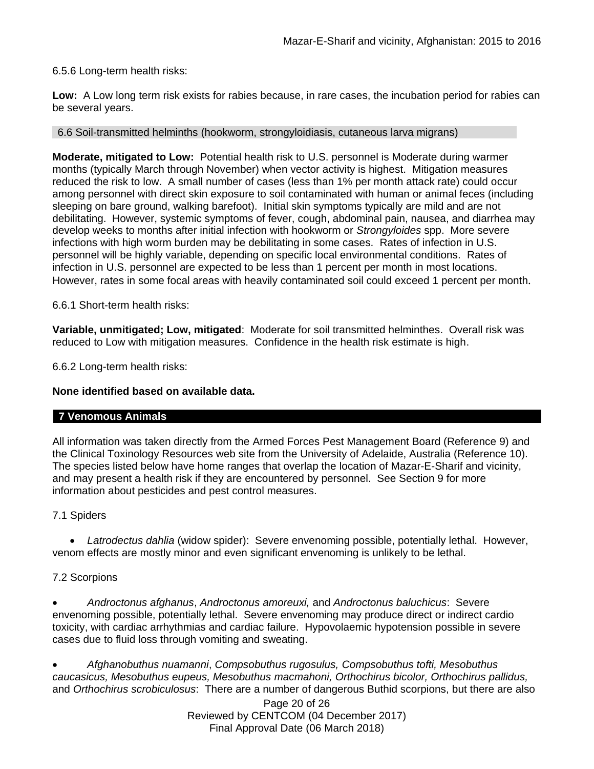6.5.6 Long-term health risks:

**Low:** A Low long term risk exists for rabies because, in rare cases, the incubation period for rabies can be several years.

## 6.6 Soil-transmitted helminths (hookworm, strongyloidiasis, cutaneous larva migrans)

**Moderate, mitigated to Low:** Potential health risk to U.S. personnel is Moderate during warmer months (typically March through November) when vector activity is highest. Mitigation measures reduced the risk to low. A small number of cases (less than 1% per month attack rate) could occur among personnel with direct skin exposure to soil contaminated with human or animal feces (including sleeping on bare ground, walking barefoot). Initial skin symptoms typically are mild and are not debilitating. However, systemic symptoms of fever, cough, abdominal pain, nausea, and diarrhea may develop weeks to months after initial infection with hookworm or *Strongyloides* spp. More severe infections with high worm burden may be debilitating in some cases. Rates of infection in U.S. personnel will be highly variable, depending on specific local environmental conditions. Rates of infection in U.S. personnel are expected to be less than 1 percent per month in most locations. However, rates in some focal areas with heavily contaminated soil could exceed 1 percent per month.

6.6.1 Short-term health risks:

**Variable, unmitigated; Low, mitigated**:Moderate for soil transmitted helminthes. Overall risk was reduced to Low with mitigation measures. Confidence in the health risk estimate is high.

6.6.2 Long-term health risks:

# **None identified based on available data.**

### **7 Venomous Animals**

All information was taken directly from the Armed Forces Pest Management Board (Reference 9) and the Clinical Toxinology Resources web site from the University of Adelaide, Australia (Reference 10). The species listed below have home ranges that overlap the location of Mazar-E-Sharif and vicinity, and may present a health risk if they are encountered by personnel. See Section 9 for more information about pesticides and pest control measures.

# 7.1 Spiders

 *Latrodectus dahlia* (widow spider): Severe envenoming possible, potentially lethal. However, venom effects are mostly minor and even significant envenoming is unlikely to be lethal.

# 7.2 Scorpions

 *Androctonus afghanus*, *Androctonus amoreuxi,* and *Androctonus baluchicus*: Severe envenoming possible, potentially lethal. Severe envenoming may produce direct or indirect cardio toxicity, with cardiac arrhythmias and cardiac failure. Hypovolaemic hypotension possible in severe cases due to fluid loss through vomiting and sweating.

 *Afghanobuthus nuamanni*, *Compsobuthus rugosulus, Compsobuthus tofti, Mesobuthus caucasicus, Mesobuthus eupeus, Mesobuthus macmahoni, Orthochirus bicolor, Orthochirus pallidus,* and *Orthochirus scrobiculosus*: There are a number of dangerous Buthid scorpions, but there are also

Page 20 of 26 Reviewed by CENTCOM (04 December 2017) Final Approval Date (06 March 2018)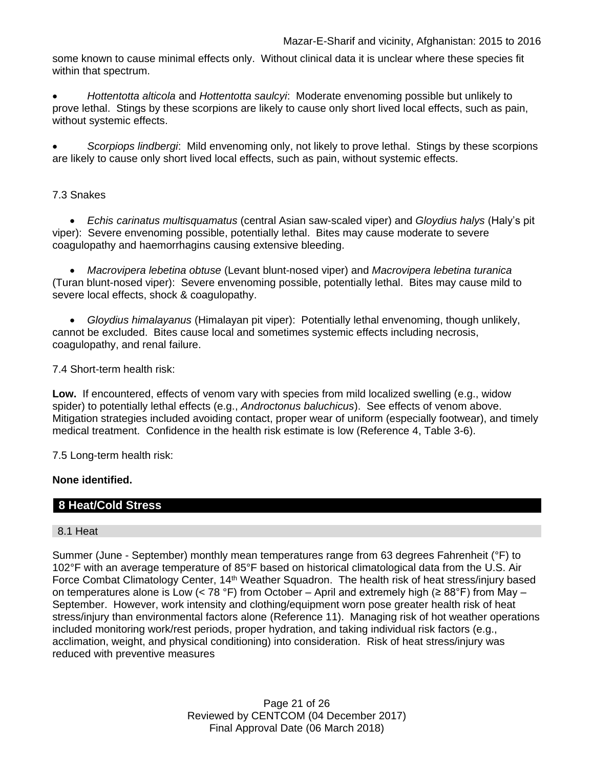some known to cause minimal effects only. Without clinical data it is unclear where these species fit within that spectrum.

 *Hottentotta alticola* and *Hottentotta saulcyi*: Moderate envenoming possible but unlikely to prove lethal. Stings by these scorpions are likely to cause only short lived local effects, such as pain, without systemic effects.

 *Scorpiops lindbergi*: Mild envenoming only, not likely to prove lethal. Stings by these scorpions are likely to cause only short lived local effects, such as pain, without systemic effects.

# 7.3 Snakes

 *Echis carinatus multisquamatus* (central Asian saw-scaled viper) and *Gloydius halys* (Haly's pit viper): Severe envenoming possible, potentially lethal. Bites may cause moderate to severe coagulopathy and haemorrhagins causing extensive bleeding.

 *Macrovipera lebetina obtuse* (Levant blunt-nosed viper) and *Macrovipera lebetina turanica*  (Turan blunt-nosed viper): Severe envenoming possible, potentially lethal. Bites may cause mild to severe local effects, shock & coagulopathy.

 *Gloydius himalayanus* (Himalayan pit viper): Potentially lethal envenoming, though unlikely, cannot be excluded. Bites cause local and sometimes systemic effects including necrosis, coagulopathy, and renal failure.

7.4 Short-term health risk:

**Low.** If encountered, effects of venom vary with species from mild localized swelling (e.g., widow spider) to potentially lethal effects (e.g., *Androctonus baluchicus*). See effects of venom above. Mitigation strategies included avoiding contact, proper wear of uniform (especially footwear), and timely medical treatment. Confidence in the health risk estimate is low (Reference 4, Table 3-6).

7.5 Long-term health risk:

# **None identified.**

# **8 Heat/Cold Stress**

# 8.1 Heat

Summer (June - September) monthly mean temperatures range from 63 degrees Fahrenheit (°F) to 102°F with an average temperature of 85°F based on historical climatological data from the U.S. Air Force Combat Climatology Center, 14<sup>th</sup> Weather Squadron. The health risk of heat stress/injury based on temperatures alone is Low (< 78 °F) from October – April and extremely high ( $\geq 88$ °F) from May – September. However, work intensity and clothing/equipment worn pose greater health risk of heat stress/injury than environmental factors alone (Reference 11). Managing risk of hot weather operations included monitoring work/rest periods, proper hydration, and taking individual risk factors (e.g., acclimation, weight, and physical conditioning) into consideration. Risk of heat stress/injury was reduced with preventive measures

> Page 21 of 26 Reviewed by CENTCOM (04 December 2017) Final Approval Date (06 March 2018)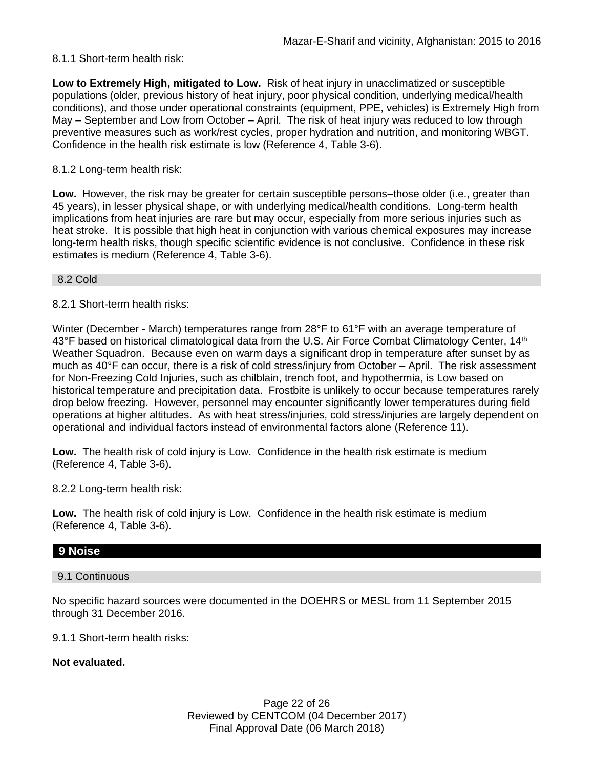# 8.1.1 Short-term health risk:

**Low to Extremely High, mitigated to Low.** Risk of heat injury in unacclimatized or susceptible populations (older, previous history of heat injury, poor physical condition, underlying medical/health conditions), and those under operational constraints (equipment, PPE, vehicles) is Extremely High from May – September and Low from October – April. The risk of heat injury was reduced to low through preventive measures such as work/rest cycles, proper hydration and nutrition, and monitoring WBGT. Confidence in the health risk estimate is low (Reference 4, Table 3-6).

# 8.1.2 Long-term health risk:

**Low.** However, the risk may be greater for certain susceptible persons–those older (i.e., greater than 45 years), in lesser physical shape, or with underlying medical/health conditions. Long-term health implications from heat injuries are rare but may occur, especially from more serious injuries such as heat stroke. It is possible that high heat in conjunction with various chemical exposures may increase long-term health risks, though specific scientific evidence is not conclusive. Confidence in these risk estimates is medium (Reference 4, Table 3-6).

8.2 Cold

8.2.1 Short-term health risks:

Winter (December - March) temperatures range from 28°F to 61°F with an average temperature of 43°F based on historical climatological data from the U.S. Air Force Combat Climatology Center, 14<sup>th</sup> Weather Squadron. Because even on warm days a significant drop in temperature after sunset by as much as 40°F can occur, there is a risk of cold stress/injury from October – April. The risk assessment for Non-Freezing Cold Injuries, such as chilblain, trench foot, and hypothermia, is Low based on historical temperature and precipitation data. Frostbite is unlikely to occur because temperatures rarely drop below freezing. However, personnel may encounter significantly lower temperatures during field operations at higher altitudes. As with heat stress/injuries, cold stress/injuries are largely dependent on operational and individual factors instead of environmental factors alone (Reference 11).

**Low.** The health risk of cold injury is Low. Confidence in the health risk estimate is medium (Reference 4, Table 3-6).

8.2.2 Long-term health risk:

**Low.** The health risk of cold injury is Low. Confidence in the health risk estimate is medium (Reference 4, Table 3-6).

# **9 Noise**

9.1 Continuous

No specific hazard sources were documented in the DOEHRS or MESL from 11 September 2015 through 31 December 2016.

9.1.1 Short-term health risks:

**Not evaluated.**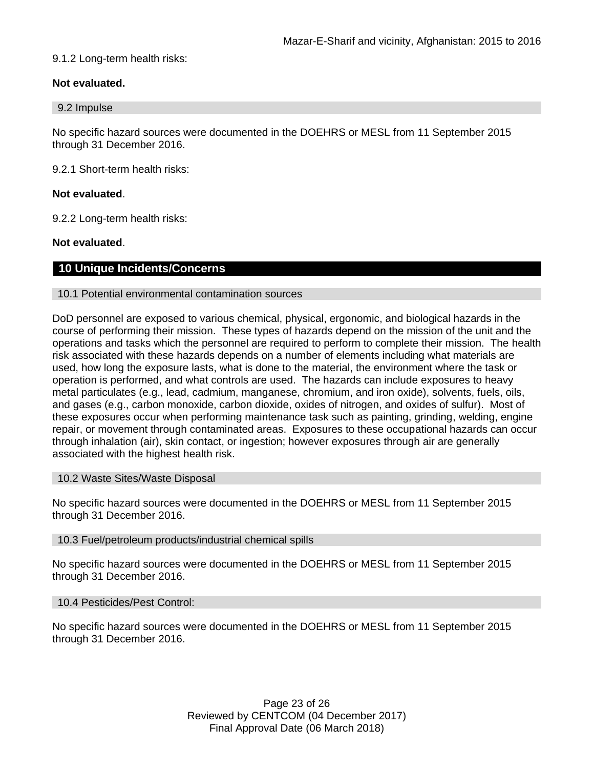## 9.1.2 Long-term health risks:

# **Not evaluated.**

#### 9.2 Impulse

No specific hazard sources were documented in the DOEHRS or MESL from 11 September 2015 through 31 December 2016.

9.2.1 Short-term health risks:

### **Not evaluated**.

9.2.2 Long-term health risks:

## **Not evaluated**.

# **10 Unique Incidents/Concerns**

10.1 Potential environmental contamination sources

DoD personnel are exposed to various chemical, physical, ergonomic, and biological hazards in the course of performing their mission. These types of hazards depend on the mission of the unit and the operations and tasks which the personnel are required to perform to complete their mission. The health risk associated with these hazards depends on a number of elements including what materials are used, how long the exposure lasts, what is done to the material, the environment where the task or operation is performed, and what controls are used. The hazards can include exposures to heavy metal particulates (e.g., lead, cadmium, manganese, chromium, and iron oxide), solvents, fuels, oils, and gases (e.g., carbon monoxide, carbon dioxide, oxides of nitrogen, and oxides of sulfur). Most of these exposures occur when performing maintenance task such as painting, grinding, welding, engine repair, or movement through contaminated areas. Exposures to these occupational hazards can occur through inhalation (air), skin contact, or ingestion; however exposures through air are generally associated with the highest health risk.

### 10.2 Waste Sites/Waste Disposal

No specific hazard sources were documented in the DOEHRS or MESL from 11 September 2015 through 31 December 2016.

### 10.3 Fuel/petroleum products/industrial chemical spills

No specific hazard sources were documented in the DOEHRS or MESL from 11 September 2015 through 31 December 2016.

### 10.4 Pesticides/Pest Control:

No specific hazard sources were documented in the DOEHRS or MESL from 11 September 2015 through 31 December 2016.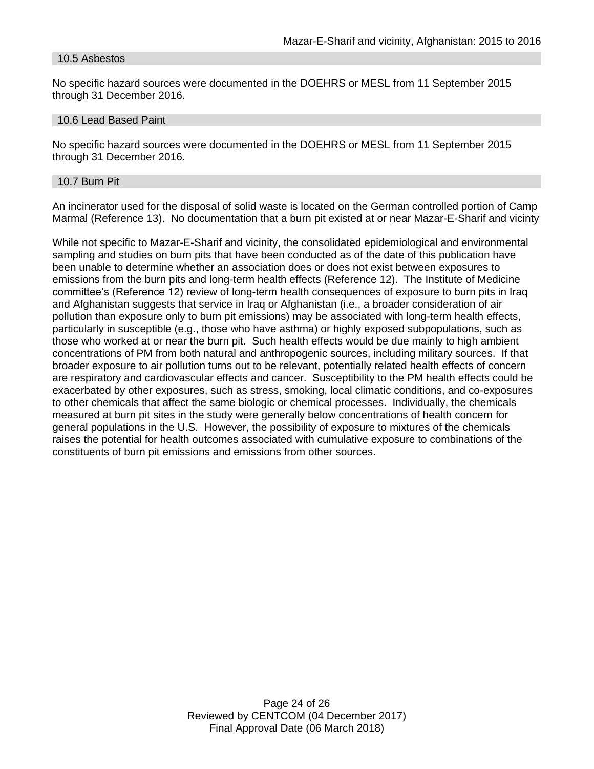#### 10.5 Asbestos

No specific hazard sources were documented in the DOEHRS or MESL from 11 September 2015 through 31 December 2016.

#### 10.6 Lead Based Paint

No specific hazard sources were documented in the DOEHRS or MESL from 11 September 2015 through 31 December 2016.

#### 10.7 Burn Pit

An incinerator used for the disposal of solid waste is located on the German controlled portion of Camp Marmal (Reference 13). No documentation that a burn pit existed at or near Mazar-E-Sharif and vicinty

While not specific to Mazar-E-Sharif and vicinity, the consolidated epidemiological and environmental sampling and studies on burn pits that have been conducted as of the date of this publication have been unable to determine whether an association does or does not exist between exposures to emissions from the burn pits and long-term health effects (Reference 12). The Institute of Medicine committee's (Reference 12) review of long-term health consequences of exposure to burn pits in Iraq and Afghanistan suggests that service in Iraq or Afghanistan (i.e., a broader consideration of air pollution than exposure only to burn pit emissions) may be associated with long-term health effects, particularly in susceptible (e.g., those who have asthma) or highly exposed subpopulations, such as those who worked at or near the burn pit. Such health effects would be due mainly to high ambient concentrations of PM from both natural and anthropogenic sources, including military sources. If that broader exposure to air pollution turns out to be relevant, potentially related health effects of concern are respiratory and cardiovascular effects and cancer. Susceptibility to the PM health effects could be exacerbated by other exposures, such as stress, smoking, local climatic conditions, and co-exposures to other chemicals that affect the same biologic or chemical processes. Individually, the chemicals measured at burn pit sites in the study were generally below concentrations of health concern for general populations in the U.S. However, the possibility of exposure to mixtures of the chemicals raises the potential for health outcomes associated with cumulative exposure to combinations of the constituents of burn pit emissions and emissions from other sources.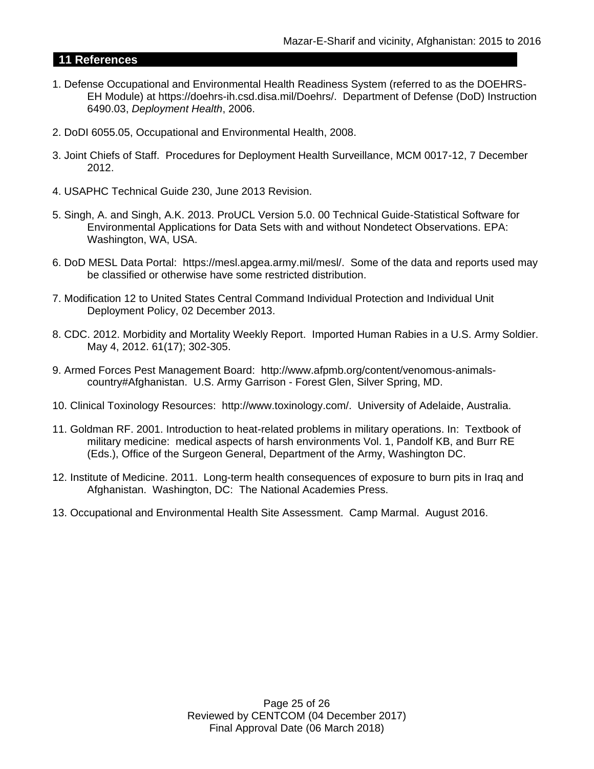# **11 References**

- 1. Defense Occupational and Environmental Health Readiness System (referred to as the DOEHRS-EH Module) at https://doehrs-ih.csd.disa.mil/Doehrs/. Department of Defense (DoD) Instruction 6490.03, *Deployment Health*, 2006.
- 2. DoDI 6055.05, Occupational and Environmental Health, 2008.
- 3. Joint Chiefs of Staff. Procedures for Deployment Health Surveillance, MCM 0017-12, 7 December 2012.
- 4. USAPHC Technical Guide 230, June 2013 Revision.
- 5. Singh, A. and Singh, A.K. 2013. ProUCL Version 5.0. 00 Technical Guide-Statistical Software for Environmental Applications for Data Sets with and without Nondetect Observations. EPA: Washington, WA, USA.
- 6. DoD MESL Data Portal: https://mesl.apgea.army.mil/mesl/. Some of the data and reports used may be classified or otherwise have some restricted distribution.
- 7. Modification 12 to United States Central Command Individual Protection and Individual Unit Deployment Policy, 02 December 2013.
- 8. CDC. 2012. Morbidity and Mortality Weekly Report. Imported Human Rabies in a U.S. Army Soldier. May 4, 2012. 61(17); 302-305.
- 9. Armed Forces Pest Management Board: http://www.afpmb.org/content/venomous-animalscountry#Afghanistan. U.S. Army Garrison - Forest Glen, Silver Spring, MD.
- 10. Clinical Toxinology Resources: http://www.toxinology.com/. University of Adelaide, Australia.
- 11. Goldman RF. 2001. Introduction to heat-related problems in military operations. In: Textbook of military medicine: medical aspects of harsh environments Vol. 1, Pandolf KB, and Burr RE (Eds.), Office of the Surgeon General, Department of the Army, Washington DC.
- 12. Institute of Medicine. 2011. Long-term health consequences of exposure to burn pits in Iraq and Afghanistan. Washington, DC: The National Academies Press.
- 13. Occupational and Environmental Health Site Assessment. Camp Marmal. August 2016.